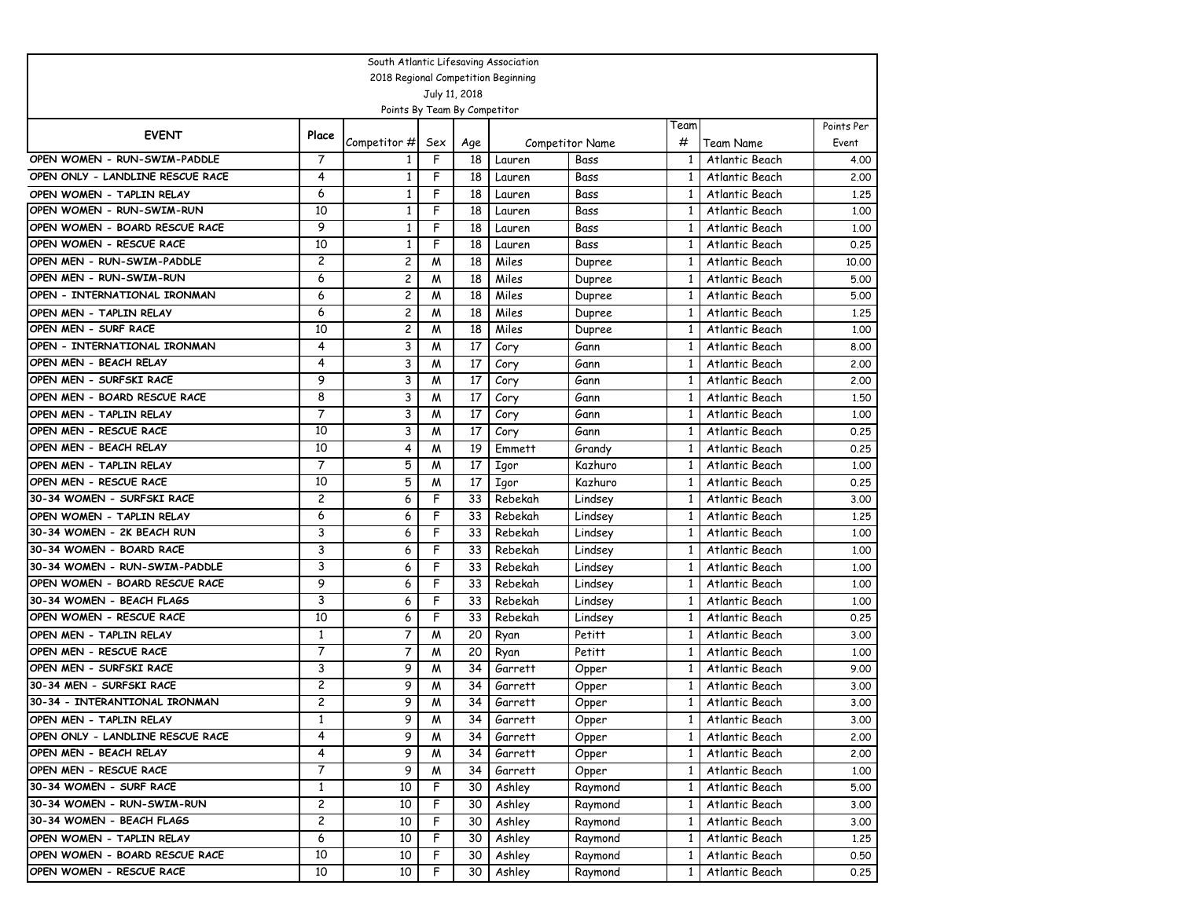| South Atlantic Lifesaving Association |                |                              |                |                 |                                     |                        |              |                  |            |  |  |  |
|---------------------------------------|----------------|------------------------------|----------------|-----------------|-------------------------------------|------------------------|--------------|------------------|------------|--|--|--|
|                                       |                |                              |                |                 | 2018 Regional Competition Beginning |                        |              |                  |            |  |  |  |
|                                       |                |                              |                | July 11, 2018   |                                     |                        |              |                  |            |  |  |  |
|                                       |                | Points By Team By Competitor |                |                 |                                     |                        |              |                  |            |  |  |  |
| <b>EVENT</b>                          | Place          |                              |                |                 |                                     |                        | Team         |                  | Points Per |  |  |  |
|                                       |                | Competitor #                 | Sex            | Age             |                                     | <b>Competitor Name</b> | #            | Team Name        | Event      |  |  |  |
| OPEN WOMEN - RUN-SWIM-PADDLE          | 7              | 1                            | F              | 18              | Lauren                              | Bass                   | 1            | Atlantic Beach   | 4.00       |  |  |  |
| OPEN ONLY - LANDLINE RESCUE RACE      | 4              | 1                            | F              | 18              | Lauren                              | Bass                   | 1            | Atlantic Beach   | 2,00       |  |  |  |
| OPEN WOMEN - TAPLIN RELAY             | 6              | $\mathbf{1}$                 | F              | 18              | Lauren                              | Bass                   | $\mathbf{1}$ | Atlantic Beach   | 1,25       |  |  |  |
| OPEN WOMEN - RUN-SWIM-RUN             | 10             | 1                            | F              | 18              | Lauren                              | Bass                   | $\mathbf{1}$ | Atlantic Beach   | 1,00       |  |  |  |
| OPEN WOMEN - BOARD RESCUE RACE        | 9              | 1                            | F              | 18              | Lauren                              | Bass                   | $\mathbf{1}$ | Atlantic Beach   | 1,00       |  |  |  |
| OPEN WOMEN - RESCUE RACE              | 10             | $\mathbf{1}$                 | F              | 18              | Lauren                              | Bass                   | 1            | Atlantic Beach   | 0.25       |  |  |  |
| OPEN MEN - RUN-SWIM-PADDLE            | 2              | 2                            | M              | 18              | Miles                               | Dupree                 | 1            | Atlantic Beach   | 10.00      |  |  |  |
| OPEN MEN - RUN-SWIM-RUN               | 6              | 2                            | W              | 18              | Miles                               | Dupree                 | $\mathbf{1}$ | Atlantic Beach   | 5.00       |  |  |  |
| OPEN - INTERNATIONAL IRONMAN          | 6              | 2                            | M              | 18              | Miles                               | Dupree                 | $\mathbf{1}$ | Atlantic Beach   | 5.00       |  |  |  |
| OPEN MEN - TAPLIN RELAY               | 6              | 2                            | M              | 18              | Miles                               | Dupree                 | $\mathbf{1}$ | Atlantic Beach   | 1,25       |  |  |  |
| OPEN MEN - SURF RACE                  | 10             | 2                            | M              | 18              | Miles                               | Dupree                 | 1            | Atlantic Beach   | 1,00       |  |  |  |
| OPEN - INTERNATIONAL IRONMAN          | 4              | 3                            | M              | 17              | Cory                                | Gann                   | 1            | Atlantic Beach   | 8.00       |  |  |  |
| OPEN MEN - BEACH RELAY                | 4              | 3                            | M              | 17              | Cory                                | Gann                   | $\mathbf{1}$ | Atlantic Beach   | 2,00       |  |  |  |
| OPEN MEN - SURFSKI RACE               | 9              | 3                            | M              | 17              | Cory                                | Gann                   | $\mathbf{1}$ | Atlantic Beach   | 2,00       |  |  |  |
| OPEN MEN - BOARD RESCUE RACE          | 8              | 3                            | M              | 17              | Cory                                | Gann                   | $\mathbf{1}$ | Atlantic Beach   | 1,50       |  |  |  |
| OPEN MEN - TAPLIN RELAY               | $\overline{7}$ | 3                            | M              | 17              | Cory                                | Gann                   | $\mathbf{1}$ | Atlantic Beach   | 1,00       |  |  |  |
| OPEN MEN - RESCUE RACE                | 10             | 3                            | M              | 17              | Cory                                | Gann                   | $\mathbf{1}$ | Atlantic Beach   | 0.25       |  |  |  |
| OPEN MEN - BEACH RELAY                | 10             | 4                            | W              | 19              | Emmett                              | Grandy                 | $\mathbf{1}$ | Atlantic Beach   | 0.25       |  |  |  |
| OPEN MEN - TAPLIN RELAY               | $\overline{7}$ | 5                            | M              | 17              | Igor                                | Kazhuro                | $\mathbf{1}$ | Atlantic Beach   | 1.00       |  |  |  |
| OPEN MEN - RESCUE RACE                | 10             | 5                            | M              | 17              | Igor                                | Kazhuro                | $\mathbf{1}$ | Atlantic Beach   | 0.25       |  |  |  |
| 30-34 WOMEN - SURFSKI RACE            | $\overline{c}$ | 6                            | F              | 33              | Rebekah                             | Lindsey                | $\mathbf{1}$ | Atlantic Beach   | 3.00       |  |  |  |
| OPEN WOMEN - TAPLIN RELAY             | 6              | 6                            | F              | 33              | Rebekah                             | Lindsey                | 1            | Atlantic Beach   | 1,25       |  |  |  |
| 30-34 WOMEN - 2K BEACH RUN            | 3              | 6                            | F              | 33              | Rebekah                             | Lindsey                | $\mathbf{1}$ | Atlantic Beach   | 1.00       |  |  |  |
| 30-34 WOMEN - BOARD RACE              | 3              | 6                            | F              | 33              | Rebekah                             | Lindsey                | $\mathbf{1}$ | Atlantic Beach   | 1.00       |  |  |  |
| 30-34 WOMEN - RUN-SWIM-PADDLE         | 3              | 6                            | F              | 33              | Rebekah                             | Lindsey                | $\mathbf{1}$ | Atlantic Beach   | 1.00       |  |  |  |
| OPEN WOMEN - BOARD RESCUE RACE        | 9              | 6                            | F              | 33              | Rebekah                             | Lindsey                | $\mathbf{1}$ | Atlantic Beach   | 1,00       |  |  |  |
| 30-34 WOMEN - BEACH FLAGS             | 3              | 6                            | F              | 33              | Rebekah                             | Lindsey                | 1            | Atlantic Beach   | 1,00       |  |  |  |
| OPEN WOMEN - RESCUE RACE              | 10             | 6                            | F              | 33              | Rebekah                             | Lindsey                | 1            | Atlantic Beach   | 0.25       |  |  |  |
| OPEN MEN - TAPLIN RELAY               | $\mathbf{1}$   | 7                            | M              | 20              | Ryan                                | Petitt                 | $\mathbf{1}$ | Atlantic Beach   | 3.00       |  |  |  |
| OPEN MEN - RESCUE RACE                | 7              | 7                            | M              | 20              | Ryan                                | Petitt                 | $\mathbf{1}$ | Atlantic Beach   | 1,00       |  |  |  |
| OPEN MEN - SURFSKI RACE               | 3              | 9                            | M              | 34              | Garrett                             | Opper                  | $\mathbf{1}$ | Atlantic Beach   | 9.00       |  |  |  |
| 30-34 MEN - SURFSKI RACE              | 2              | 9                            | M              | 34              | Garrett                             | Opper                  | 1            | Atlantic Beach   | 3.00       |  |  |  |
| 30-34 - INTERANTIONAL IRONMAN         | $\overline{c}$ | 9                            | W              | 34              | Garrett                             | Opper                  | $\mathbf{1}$ | Atlantic Beach   | 3.00       |  |  |  |
| OPEN MEN - TAPLIN RELAY               | $\mathbf{1}$   | 9                            | $\overline{M}$ | $\overline{34}$ | Garrett                             | Opper                  |              | 1 Atlantic Beach | 3.00       |  |  |  |
| OPEN ONLY - LANDLINE RESCUE RACE      | 4              | 9                            | M              | 34              | Garrett                             | Opper                  | $\mathbf{1}$ | Atlantic Beach   | 2.00       |  |  |  |
| OPEN MEN - BEACH RELAY                | 4              | 9                            | M              | 34              | Garrett                             | Opper                  | $\mathbf{1}$ | Atlantic Beach   | 2.00       |  |  |  |
| OPEN MEN - RESCUE RACE                | 7              | 9                            | M              | 34              | Garrett                             | Opper                  | 1            | Atlantic Beach   | 1.00       |  |  |  |
| 30-34 WOMEN - SURF RACE               | $\mathbf{1}$   | 10                           | F              | 30              | Ashley                              | Raymond                | $\mathbf{1}$ | Atlantic Beach   | 5.00       |  |  |  |
| 30-34 WOMEN - RUN-SWIM-RUN            | 2              | 10                           | F              | 30              | Ashley                              | Raymond                | $\mathbf{1}$ | Atlantic Beach   | 3.00       |  |  |  |
| 30-34 WOMEN - BEACH FLAGS             | 2              | 10                           | F              | 30              | Ashley                              | Raymond                | 1            | Atlantic Beach   | 3.00       |  |  |  |
| OPEN WOMEN - TAPLIN RELAY             | 6              | 10                           | F              | 30              | Ashley                              | Raymond                | $\mathbf{1}$ | Atlantic Beach   | 1.25       |  |  |  |
| OPEN WOMEN - BOARD RESCUE RACE        | 10             | 10                           | F.             | 30              | Ashley                              | Raymond                | 1            | Atlantic Beach   | 0.50       |  |  |  |
| OPEN WOMEN - RESCUE RACE              | 10             | 10                           | F              | 30              | Ashley                              | Raymond                | 1            | Atlantic Beach   | 0.25       |  |  |  |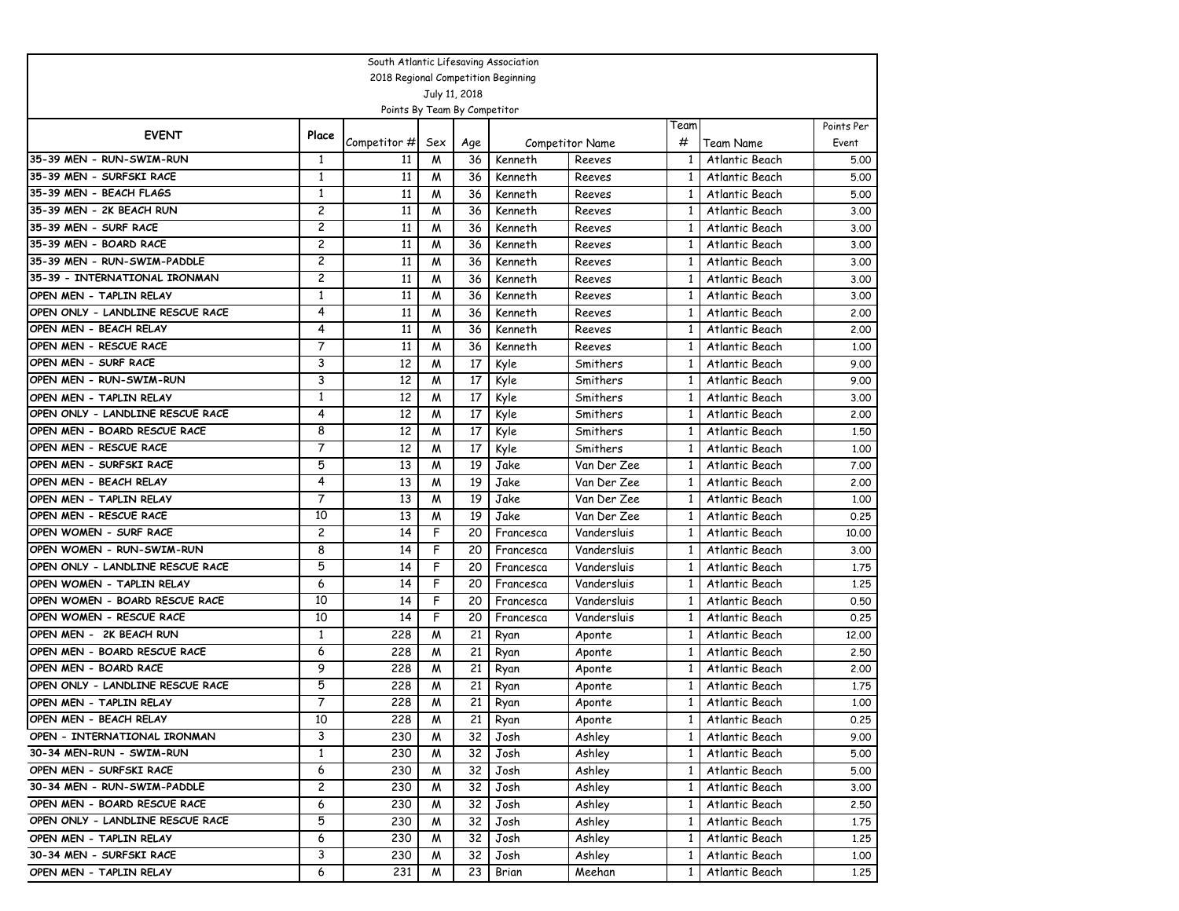| South Atlantic Lifesaving Association |                |                              |                |               |                                     |                                  |              |                             |                     |  |  |  |
|---------------------------------------|----------------|------------------------------|----------------|---------------|-------------------------------------|----------------------------------|--------------|-----------------------------|---------------------|--|--|--|
|                                       |                |                              |                |               | 2018 Regional Competition Beginning |                                  |              |                             |                     |  |  |  |
|                                       |                |                              |                | July 11, 2018 |                                     |                                  |              |                             |                     |  |  |  |
|                                       |                | Points By Team By Competitor |                |               |                                     |                                  |              |                             |                     |  |  |  |
| <b>EVENT</b>                          | Place          |                              |                |               |                                     |                                  | Team<br>#    |                             | Points Per<br>Event |  |  |  |
| 35-39 MEN - RUN-SWIM-RUN              | 1              | Competitor #<br>11           | Sex<br>M       | Age<br>36     | Kenneth                             | <b>Competitor Name</b><br>Reeves | 1            | Team Name<br>Atlantic Beach | 5.00                |  |  |  |
| 35-39 MEN - SURFSKI RACE              | 1              | 11                           | M              | 36            | Kenneth                             | Reeves                           | 1            | Atlantic Beach              |                     |  |  |  |
| 35-39 MEN - BEACH FLAGS               | 1              | 11                           | M              | 36            | Kenneth                             | Reeves                           | 1            | Atlantic Beach              | 5.00<br>5.00        |  |  |  |
| 35-39 MEN - 2K BEACH RUN              | $\overline{c}$ | 11                           | M              | 36            | Kenneth                             | Reeves                           | $\mathbf{1}$ | Atlantic Beach              | 3.00                |  |  |  |
| 35-39 MEN - SURF RACE                 | $\overline{c}$ | 11                           | M              | 36            | Kenneth                             |                                  | $\mathbf{1}$ | Atlantic Beach              |                     |  |  |  |
| 35-39 MEN - BOARD RACE                | 2              | 11                           | M              | 36            | Kenneth                             | Reeves<br>Reeves                 | $\mathbf{1}$ | Atlantic Beach              | 3.00<br>3.00        |  |  |  |
| 35-39 MEN - RUN-SWIM-PADDLE           | $\overline{c}$ | 11                           | M              | 36            | Kenneth                             | Reeves                           | 1            | Atlantic Beach              | 3.00                |  |  |  |
| 35-39 - INTERNATIONAL IRONMAN         | 2              | 11                           | M              | 36            | Kenneth                             | Reeves                           | 1            | Atlantic Beach              | 3.00                |  |  |  |
| OPEN MEN - TAPLIN RELAY               | 1              | 11                           | M              | 36            | Kenneth                             | Reeves                           | 1            | Atlantic Beach              | 3.00                |  |  |  |
| OPEN ONLY - LANDLINE RESCUE RACE      | 4              | 11                           | M              | 36            | Kenneth                             | Reeves                           | $\mathbf{1}$ | Atlantic Beach              | 2.00                |  |  |  |
| OPEN MEN - BEACH RELAY                | 4              | 11                           | M              | 36            | Kenneth                             | Reeves                           | $\mathbf{1}$ | Atlantic Beach              | 2.00                |  |  |  |
| OPEN MEN - RESCUE RACE                | $\overline{7}$ | 11                           | M              | 36            | Kenneth                             | Reeves                           | 1            | Atlantic Beach              | 1.00                |  |  |  |
| OPEN MEN - SURF RACE                  | 3              | 12                           | M              | 17            | Kyle                                | Smithers                         | 1            | Atlantic Beach              | 9.00                |  |  |  |
| OPEN MEN - RUN-SWIM-RUN               | 3              | 12                           | M              | 17            | Kyle                                | Smithers                         | $\mathbf{1}$ | Atlantic Beach              | 9.00                |  |  |  |
| OPEN MEN - TAPLIN RELAY               | 1              | 12                           | M              | 17            | Kyle                                | Smithers                         | $\mathbf{1}$ | Atlantic Beach              | 3.00                |  |  |  |
| OPEN ONLY - LANDLINE RESCUE RACE      | $\overline{4}$ | 12                           | M              | 17            | Kyle                                | Smithers                         | 1            | Atlantic Beach              | 2,00                |  |  |  |
| OPEN MEN - BOARD RESCUE RACE          | 8              | 12                           | M              | 17            | Kyle                                | Smithers                         | 1            | Atlantic Beach              | 1,50                |  |  |  |
| OPEN MEN - RESCUE RACE                | 7              | 12                           | M              | 17            | Kyle                                | Smithers                         | $\mathbf{1}$ | Atlantic Beach              | 1.00                |  |  |  |
| OPEN MEN - SURFSKI RACE               | 5              | 13                           | M              | 19            | Jake                                | Van Der Zee                      | $\mathbf{1}$ | Atlantic Beach              | 7.00                |  |  |  |
| OPEN MEN - BEACH RELAY                | 4              | 13                           | M              | 19            | Jake                                | Van Der Zee                      | $\mathbf{1}$ | Atlantic Beach              | 2.00                |  |  |  |
| OPEN MEN - TAPLIN RELAY               | 7              | 13                           | M              | 19            | Jake                                | Van Der Zee                      | $\mathbf{1}$ | Atlantic Beach              | 1,00                |  |  |  |
| OPEN MEN - RESCUE RACE                | 10             | 13                           | M              | 19            | Jake                                | Van Der Zee                      | 1            | Atlantic Beach              | 0.25                |  |  |  |
| OPEN WOMEN - SURF RACE                | 2              | 14                           | F              | 20            | Francesca                           | Vandersluis                      | 1            | Atlantic Beach              | 10.00               |  |  |  |
| OPEN WOMEN - RUN-SWIM-RUN             | 8              | 14                           | F              | 20            | Francesca                           | Vandersluis                      | $\mathbf{1}$ | Atlantic Beach              | 3.00                |  |  |  |
| OPEN ONLY - LANDLINE RESCUE RACE      | 5              | 14                           | F              | 20            | Francesca                           | Vandersluis                      | $\mathbf{1}$ | Atlantic Beach              | 1.75                |  |  |  |
| OPEN WOMEN - TAPLIN RELAY             | 6              | 14                           | F              | 20            | Francesca                           | Vandersluis                      | $\mathbf{1}$ | Atlantic Beach              | 1,25                |  |  |  |
| OPEN WOMEN - BOARD RESCUE RACE        | 10             | 14                           | F              | 20            | Francesca                           | Vandersluis                      | 1            | Atlantic Beach              | 0.50                |  |  |  |
| OPEN WOMEN - RESCUE RACE              | 10             | 14                           | F              | 20            | Francesca                           | Vandersluis                      | 1            | Atlantic Beach              | 0.25                |  |  |  |
| OPEN MEN - 2K BEACH RUN               | 1              | 228                          | M              | 21            | Ryan                                | Aponte                           | $\mathbf{1}$ | Atlantic Beach              | 12,00               |  |  |  |
| OPEN MEN - BOARD RESCUE RACE          | 6              | 228                          | M              | 21            | Ryan                                | Aponte                           | $\mathbf{1}$ | Atlantic Beach              | 2.50                |  |  |  |
| OPEN MEN - BOARD RACE                 | 9              | 228                          | M              | 21            | Ryan                                | Aponte                           | $\mathbf{1}$ | Atlantic Beach              | 2,00                |  |  |  |
| OPEN ONLY - LANDLINE RESCUE RACE      | 5              | 228                          | M              | 21            | Ryan                                | Aponte                           | 1            | Atlantic Beach              | 1.75                |  |  |  |
| OPEN MEN - TAPLIN RELAY               | $\overline{7}$ | 228                          | W              | 21            | Ryan                                | Aponte                           | $\mathbf{1}$ | Atlantic Beach              | 1,00                |  |  |  |
| OPEN MEN - BEACH RELAY                | 10             | 228                          | $\overline{M}$ |               | $21$ Ryan                           | Aponte                           | $\mathbf{1}$ | Atlantic Beach              | 0.25                |  |  |  |
| OPEN - INTERNATIONAL IRONMAN          | 3              | 230                          | M              | 32            | Josh                                | Ashley                           | $\mathbf{1}$ | Atlantic Beach              | 9.00                |  |  |  |
| 30-34 MEN-RUN - SWIM-RUN              | $\mathbf{1}$   | 230                          | M              | 32            | Josh                                | Ashley                           | $\mathbf{1}$ | Atlantic Beach              | 5.00                |  |  |  |
| OPEN MEN - SURFSKI RACE               | 6              | 230                          | M              | 32            | Josh                                | Ashley                           | 1            | Atlantic Beach              | 5.00                |  |  |  |
| 30-34 MEN - RUN-SWIM-PADDLE           | 2              | 230                          | M              | 32            | Josh                                | Ashley                           | 1            | Atlantic Beach              | 3.00                |  |  |  |
| OPEN MEN - BOARD RESCUE RACE          | 6              | 230                          | M              | 32            | Josh                                | Ashley                           | 1            | Atlantic Beach              | 2.50                |  |  |  |
| OPEN ONLY - LANDLINE RESCUE RACE      | 5              | 230                          | M              | 32            | Josh                                | Ashley                           | $\mathbf{1}$ | Atlantic Beach              | 1.75                |  |  |  |
| OPEN MEN - TAPLIN RELAY               | 6              | 230                          | M              | 32            | Josh                                | Ashley                           | $\mathbf{1}$ | Atlantic Beach              | 1.25                |  |  |  |
| 30-34 MEN - SURFSKI RACE              | 3              | 230                          | M              | 32            | Josh                                | Ashley                           | 1            | Atlantic Beach              | 1.00                |  |  |  |
| OPEN MEN - TAPLIN RELAY               | 6              | 231                          | M              | 23            | Brian                               | Meehan                           | 1            | Atlantic Beach              | 1.25                |  |  |  |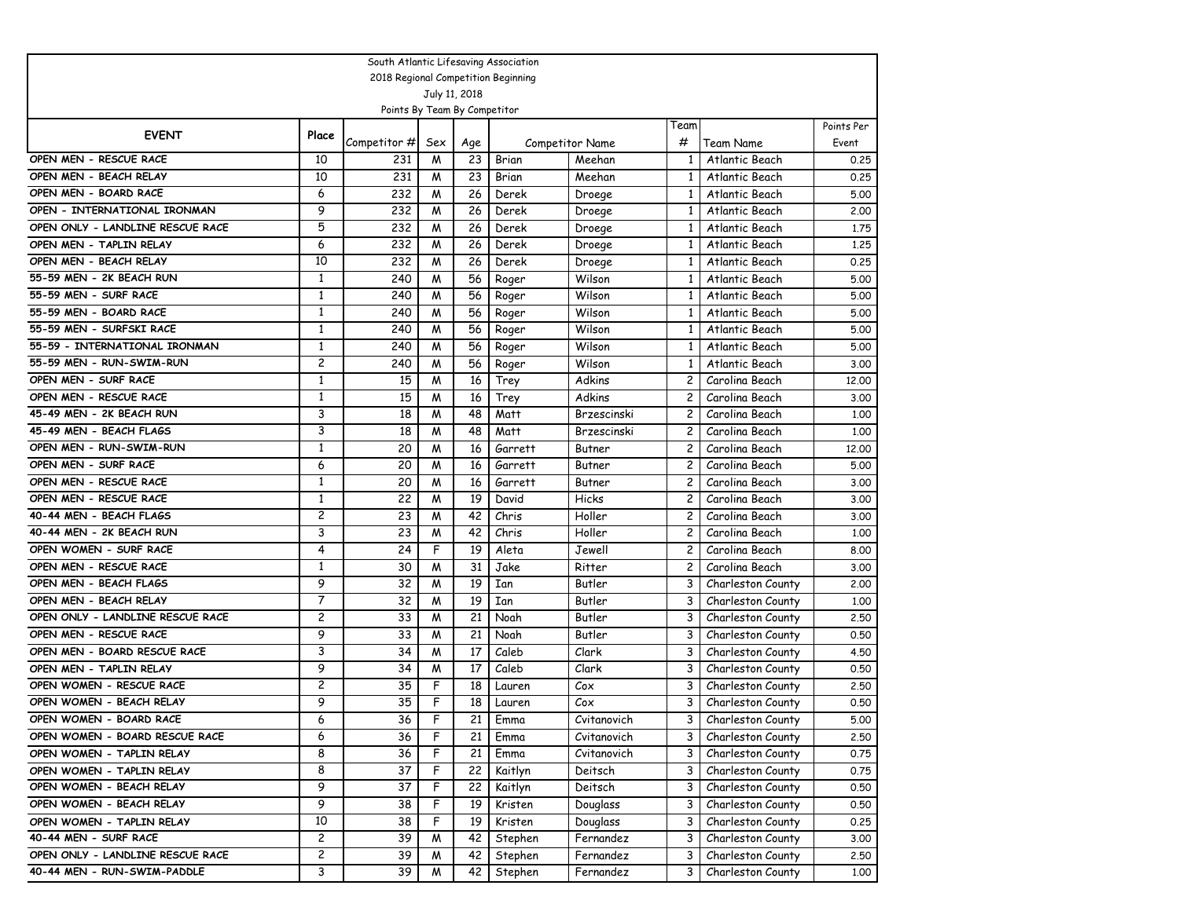| South Atlantic Lifesaving Association                     |                                |                              |                         |                 |                                     |                              |                                |                                  |               |  |  |  |
|-----------------------------------------------------------|--------------------------------|------------------------------|-------------------------|-----------------|-------------------------------------|------------------------------|--------------------------------|----------------------------------|---------------|--|--|--|
|                                                           |                                |                              |                         |                 | 2018 Regional Competition Beginning |                              |                                |                                  |               |  |  |  |
|                                                           |                                |                              |                         | July 11, 2018   |                                     |                              |                                |                                  |               |  |  |  |
|                                                           |                                | Points By Team By Competitor |                         |                 |                                     |                              |                                |                                  |               |  |  |  |
| <b>EVENT</b>                                              | Place                          |                              |                         |                 |                                     |                              | Team                           |                                  | Points Per    |  |  |  |
|                                                           |                                | Competitor #                 | Sex                     | Age             |                                     | Competitor Name              | #                              | Team Name                        | Event         |  |  |  |
| OPEN MEN - RESCUE RACE                                    | 10                             | 231                          | M                       | 23              | Brian                               | Meehan                       | 1                              | Atlantic Beach                   | 0.25          |  |  |  |
| OPEN MEN - BEACH RELAY                                    | 10                             | 231                          | M                       | 23              | Brian                               | Meehan                       | $\mathbf{1}$                   | Atlantic Beach                   | 0.25          |  |  |  |
| OPEN MEN - BOARD RACE                                     | 6                              | 232                          | W                       | 26              | Derek                               | Droege                       | $\mathbf{1}$                   | Atlantic Beach                   | 5.00          |  |  |  |
| OPEN - INTERNATIONAL IRONMAN                              | 9                              | 232                          | W                       | 26              | Derek                               | Droege                       | $\mathbf{1}$                   | Atlantic Beach                   | 2.00          |  |  |  |
| OPEN ONLY - LANDLINE RESCUE RACE                          | 5                              | 232                          | W                       | 26              | Derek                               | Droege                       | $\mathbf{1}$                   | Atlantic Beach                   | 1.75          |  |  |  |
| OPEN MEN - TAPLIN RELAY                                   | 6                              | 232                          | M                       | 26              | Derek                               | Droege                       | 1                              | Atlantic Beach                   | 1,25          |  |  |  |
| OPEN MEN - BEACH RELAY                                    | 10                             | 232                          | W                       | 26              | Derek                               | Droege                       | $\mathbf{1}$                   | Atlantic Beach                   | 0.25          |  |  |  |
| 55-59 MEN - 2K BEACH RUN                                  | $\mathbf{1}$                   | 240                          | M                       | 56              | Roger                               | Wilson                       | $\mathbf{1}$                   | Atlantic Beach                   | 5.00          |  |  |  |
| 55-59 MEN - SURF RACE                                     | $\mathbf{1}$                   | 240                          | W                       | 56              | Roger                               | Wilson                       | $\mathbf{1}$                   | Atlantic Beach                   | 5.00          |  |  |  |
| 55-59 MEN - BOARD RACE                                    | 1                              | 240                          | M                       | 56              | Roger                               | Wilson                       | 1                              | Atlantic Beach                   | 5.00          |  |  |  |
| 55-59 MEN - SURFSKI RACE<br>55-59 - INTERNATIONAL IRONMAN | 1                              | 240                          | M                       | 56              | Roger                               | Wilson                       | 1                              | Atlantic Beach                   | 5.00          |  |  |  |
| 55-59 MEN - RUN-SWIM-RUN                                  | $\mathbf{1}$<br>$\overline{c}$ | 240                          | W                       | 56              | Roger                               | Wilson                       | $\mathbf{1}$                   | Atlantic Beach                   | 5.00          |  |  |  |
|                                                           | $\mathbf{1}$                   | 240                          | W                       | 56              | Roger                               | Wilson                       | $\mathbf{1}$<br>$\overline{c}$ | Atlantic Beach                   | 3.00          |  |  |  |
| OPEN MEN - SURF RACE<br>OPEN MEN - RESCUE RACE            |                                | 15                           | W                       | 16              | Trey                                | Adkins<br>Adkins             |                                | Carolina Beach                   | 12.00         |  |  |  |
| 45-49 MEN - 2K BEACH RUN                                  | 1<br>3                         | 15                           | W                       | 16              | Trey                                |                              | 2                              | Carolina Beach                   | 3.00          |  |  |  |
| 45-49 MEN - BEACH FLAGS                                   | 3                              | 18                           | W                       | 48              | Matt                                | Brzescinski                  | 2                              | Carolina Beach                   | 1.00          |  |  |  |
| OPEN MEN - RUN-SWIM-RUN                                   | $\mathbf{1}$                   | 18<br>20                     | W<br>M                  | 48<br>16        | Matt                                | Brzescinski<br><b>Butner</b> | $\mathbf{2}$<br>2              | Carolina Beach<br>Carolina Beach | 1.00          |  |  |  |
| OPEN MEN - SURF RACE                                      | 6                              | 20                           | W                       | 16              | Garrett<br>Garrett                  | Butner                       | $\overline{c}$                 | Carolina Beach                   | 12,00<br>5.00 |  |  |  |
| OPEN MEN - RESCUE RACE                                    | 1                              | 20                           | M                       | 16              | Garrett                             | Butner                       | 2                              | Carolina Beach                   | 3.00          |  |  |  |
| OPEN MEN - RESCUE RACE                                    | 1                              | 22                           | M                       | 19              | David                               | Hicks                        | 2                              | Carolina Beach                   | 3.00          |  |  |  |
| 40-44 MEN - BEACH FLAGS                                   | $\overline{c}$                 | 23                           | M                       | 42              | Chris                               | Holler                       | $\mathbf{2}$                   | Carolina Beach                   | 3.00          |  |  |  |
| 40-44 MEN - 2K BEACH RUN                                  | 3                              | 23                           | W                       | 42              | Chris                               | Holler                       | $\mathbf{2}$                   | Carolina Beach                   | 1.00          |  |  |  |
| OPEN WOMEN - SURF RACE                                    | 4                              | 24                           | F                       | 19              | Aleta                               | Jewell                       | 2                              | Carolina Beach                   | 8.00          |  |  |  |
| OPEN MEN - RESCUE RACE                                    | 1                              | 30                           | W                       | 31              | Jake                                | Ritter                       | 2                              | Carolina Beach                   | 3.00          |  |  |  |
| OPEN MEN - BEACH FLAGS                                    | 9                              | 32                           | M                       | 19              | Ian                                 | Butler                       | 3                              | Charleston County                | 2.00          |  |  |  |
| OPEN MEN - BEACH RELAY                                    | 7                              | 32                           | W                       | 19              | Ian                                 | Butler                       | 3                              | Charleston County                | 1.00          |  |  |  |
| OPEN ONLY - LANDLINE RESCUE RACE                          | $\overline{c}$                 | 33                           | W                       | 21              | Noah                                | Butler                       | 3                              | Charleston County                | 2.50          |  |  |  |
| OPEN MEN - RESCUE RACE                                    | 9                              | 33                           | M                       | 21              | Noah                                | Butler                       | 3                              | Charleston County                | 0.50          |  |  |  |
| OPEN MEN - BOARD RESCUE RACE                              | 3                              | 34                           | M                       | 17              | Caleb                               | Clark                        | 3                              | Charleston County                | 4.50          |  |  |  |
| OPEN MEN - TAPLIN RELAY                                   | 9                              | 34                           | M                       | 17              | Caleb                               | Clark                        | 3                              | Charleston County                | 0.50          |  |  |  |
| OPEN WOMEN - RESCUE RACE                                  | $\overline{c}$                 | 35                           | F                       | 18              | Lauren                              | Cox                          | 3                              | Charleston County                | 2.50          |  |  |  |
| OPEN WOMEN - BEACH RELAY                                  | 9                              | 35                           | F                       | 18              | Lauren                              | Cox                          | 3                              | Charleston County                | 0.50          |  |  |  |
| OPEN WOMEN - BOARD RACE                                   | 6                              | 36                           | $\overline{\mathsf{F}}$ | $\overline{21}$ | Emma                                | Cvitanovich                  | 3                              | Charleston County                | 5.00          |  |  |  |
| OPEN WOMEN - BOARD RESCUE RACE                            | 6                              | 36                           | F                       | 21              | Emma                                | Cvitanovich                  | 3                              | Charleston County                | 2.50          |  |  |  |
| OPEN WOMEN - TAPLIN RELAY                                 | 8                              | 36                           | F                       | 21              | Emma                                | Cvitanovich                  | 3                              | Charleston County                | 0.75          |  |  |  |
| OPEN WOMEN - TAPLIN RELAY                                 | 8                              | 37                           | $\mathsf F$             | 22              | Kaitlyn                             | Deitsch                      | 3                              | Charleston County                | 0.75          |  |  |  |
| OPEN WOMEN - BEACH RELAY                                  | 9                              | 37                           | F                       | 22              | Kaitlyn                             | Deitsch                      | 3                              | Charleston County                | 0.50          |  |  |  |
| OPEN WOMEN - BEACH RELAY                                  | 9                              | 38                           | F                       | 19              | Kristen                             | Douglass                     | 3                              | Charleston County                | 0.50          |  |  |  |
| OPEN WOMEN - TAPLIN RELAY                                 | 10                             | 38                           | F                       | 19              | Kristen                             | Douglass                     | 3                              | Charleston County                | 0.25          |  |  |  |
| 40-44 MEN - SURF RACE                                     | 2                              | 39                           | M                       | 42              | Stephen                             | Fernandez                    | 3                              | Charleston County                | 3.00          |  |  |  |
| OPEN ONLY - LANDLINE RESCUE RACE                          | 2                              | 39                           | M                       | 42              | Stephen                             | Fernandez                    | 3                              | Charleston County                | 2.50          |  |  |  |
| 40-44 MEN - RUN-SWIM-PADDLE                               | 3                              | 39                           | W                       | 42              | Stephen                             | Fernandez                    | 3                              | Charleston County                | 1.00          |  |  |  |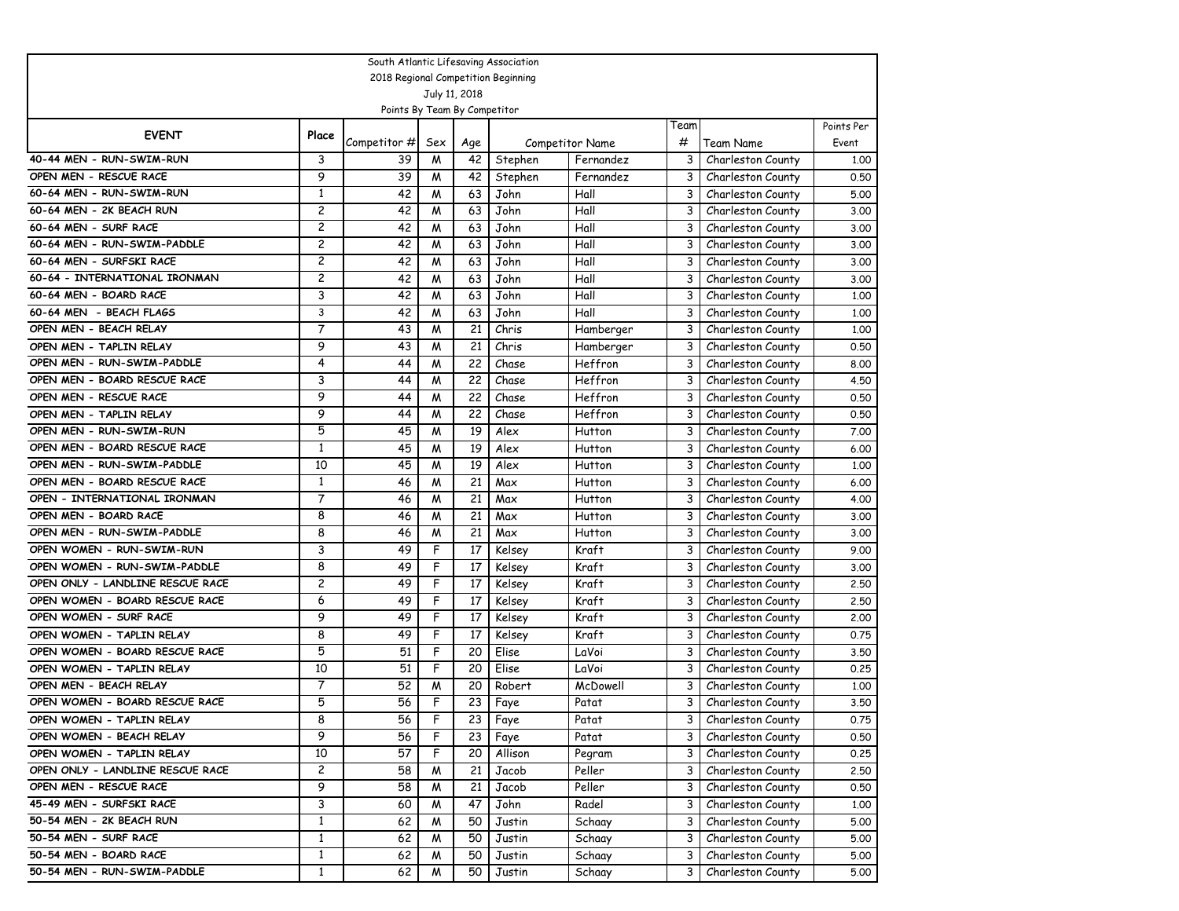| South Atlantic Lifesaving Association                 |                |                                     |                |                 |                 |                                     |           |                                        |                     |  |  |
|-------------------------------------------------------|----------------|-------------------------------------|----------------|-----------------|-----------------|-------------------------------------|-----------|----------------------------------------|---------------------|--|--|
|                                                       |                | 2018 Regional Competition Beginning |                |                 |                 |                                     |           |                                        |                     |  |  |
|                                                       |                |                                     |                | July 11, 2018   |                 |                                     |           |                                        |                     |  |  |
|                                                       |                | Points By Team By Competitor        |                |                 |                 |                                     |           |                                        |                     |  |  |
| <b>EVENT</b>                                          | Place          |                                     |                |                 |                 |                                     | Team<br># |                                        | Points Per<br>Event |  |  |
| 40-44 MEN - RUN-SWIM-RUN                              | 3              | Competitor #<br>39                  | Sex<br>W       | Age<br>42       | Stephen         | <b>Competitor Name</b><br>Fernandez | 3         | Team Name<br>Charleston County         |                     |  |  |
| OPEN MEN - RESCUE RACE                                | 9              | 39                                  |                |                 |                 | Fernandez                           | 3         |                                        | 1.00                |  |  |
| 60-64 MEN - RUN-SWIM-RUN                              | $\mathbf{1}$   | 42                                  | M<br>W         | 42<br>63        | Stephen<br>John | Hall                                | 3         | Charleston County                      | 0.50                |  |  |
| 60-64 MEN - 2K BEACH RUN                              | $\overline{c}$ | 42                                  | W              | 63              | John            | Hall                                | 3         | Charleston County                      | 5.00                |  |  |
| 60-64 MEN - SURF RACE                                 | $\overline{c}$ | 42                                  |                |                 |                 |                                     | 3         | Charleston County                      | 3.00                |  |  |
| 60-64 MEN - RUN-SWIM-PADDLE                           | $\overline{c}$ | 42                                  | W<br>W         | 63<br>63        | John<br>John    | Hall<br>Hall                        | 3         | Charleston County<br>Charleston County | 3.00                |  |  |
| 60-64 MEN - SURFSKI RACE                              | 2              |                                     |                |                 |                 |                                     |           |                                        | 3.00                |  |  |
| 60-64 - INTERNATIONAL IRONMAN                         | $\overline{c}$ | 42<br>42                            | W              | 63<br>63        | John            | Hall                                | 3<br>3    | Charleston County                      | 3.00                |  |  |
| 60-64 MEN - BOARD RACE                                | 3              | 42                                  | W<br>W         | 63              | John            | Hall                                | 3         | Charleston County                      | 3.00                |  |  |
| 60-64 MEN - BEACH FLAGS                               | 3              |                                     |                | 63              | John            | Hall<br>Hall                        | 3         | Charleston County                      | 1.00                |  |  |
| OPEN MEN - BEACH RELAY                                | $\overline{7}$ | 42<br>43                            | W<br>W         | 21              | John<br>Chris   |                                     | 3         | Charleston County<br>Charleston County | 1.00                |  |  |
|                                                       | 9              |                                     |                |                 |                 | Hamberger                           |           |                                        | 1,00                |  |  |
| OPEN MEN - TAPLIN RELAY<br>OPEN MEN - RUN-SWIM-PADDLE | 4              | 43<br>44                            | M<br>W         | 21<br>22        | Chris<br>Chase  | Hamberger<br>Heffron                | 3<br>3    | Charleston County                      | 0.50                |  |  |
| OPEN MEN - BOARD RESCUE RACE                          | 3              | 44                                  | W              | 22              | Chase           | Heffron                             | 3         | Charleston County                      | 8.00                |  |  |
| OPEN MEN - RESCUE RACE                                | 9              | 44                                  |                | 22              |                 |                                     | 3         | Charleston County                      | 4.50                |  |  |
| OPEN MEN - TAPLIN RELAY                               | 9              | 44                                  | W<br>W         | 22              | Chase<br>Chase  | Heffron<br>Heffron                  | 3         | Charleston County<br>Charleston County | 0.50<br>0.50        |  |  |
| OPEN MEN - RUN-SWIM-RUN                               | 5              | 45                                  | W              | 19              |                 | Hutton                              | 3         |                                        |                     |  |  |
| OPEN MEN - BOARD RESCUE RACE                          | 1              | 45                                  | W              | 19              | Alex<br>Alex    | Hutton                              | 3         | Charleston County                      | 7.00                |  |  |
| OPEN MEN - RUN-SWIM-PADDLE                            | 10             | 45                                  | W              | 19              | Alex            | Hutton                              | 3         | Charleston County<br>Charleston County | 6.00<br>1,00        |  |  |
| OPEN MEN - BOARD RESCUE RACE                          | $\mathbf{1}$   | 46                                  | W              | 21              | Max             | Hutton                              | 3         | Charleston County                      | 6.00                |  |  |
| OPEN - INTERNATIONAL IRONMAN                          | $\overline{7}$ | 46                                  | W              | 21              | Max             | Hutton                              | 3         | Charleston County                      | 4.00                |  |  |
| OPEN MEN - BOARD RACE                                 | 8              | 46                                  | M              | 21              | Max             | Hutton                              | 3         | Charleston County                      | 3.00                |  |  |
| OPEN MEN - RUN-SWIM-PADDLE                            | 8              | 46                                  | W              | 21              | Max             | Hutton                              | 3         | Charleston County                      | 3.00                |  |  |
| OPEN WOMEN - RUN-SWIM-RUN                             | 3              | 49                                  | F              | 17              | Kelsey          | Kraft                               | 3         | Charleston County                      | 9.00                |  |  |
| OPEN WOMEN - RUN-SWIM-PADDLE                          | 8              | 49                                  | F              | 17              | Kelsey          | <b>Kraft</b>                        | 3         | Charleston County                      | 3.00                |  |  |
| OPEN ONLY - LANDLINE RESCUE RACE                      | $\overline{c}$ | 49                                  | F              | 17              | Kelsey          | <b>Kraft</b>                        | 3         | Charleston County                      | 2.50                |  |  |
| OPEN WOMEN - BOARD RESCUE RACE                        | 6              | 49                                  | F              | 17              | Kelsey          | Kraft                               | 3         | Charleston County                      | 2.50                |  |  |
| OPEN WOMEN - SURF RACE                                | 9              | 49                                  | F              | 17              | Kelsey          | Kraft                               | 3         | Charleston County                      | 2.00                |  |  |
| OPEN WOMEN - TAPLIN RELAY                             | 8              | 49                                  | F              | 17              | Kelsey          | Kraft                               | 3         | Charleston County                      | 0.75                |  |  |
| OPEN WOMEN - BOARD RESCUE RACE                        | 5              | 51                                  | F              | 20              | Elise           | LaVoi                               | 3         | Charleston County                      | 3.50                |  |  |
| OPEN WOMEN - TAPLIN RELAY                             | 10             | 51                                  | F              | 20              | Elise           | LaVoi                               | 3         | Charleston County                      | 0.25                |  |  |
| OPEN MEN - BEACH RELAY                                | 7              | 52                                  | M              | 20              | Robert          | McDowell                            | 3         | Charleston County                      | 1,00                |  |  |
| OPEN WOMEN - BOARD RESCUE RACE                        | 5              | 56                                  | F              | 23              | Faye            | Patat                               | 3         | Charleston County                      | 3.50                |  |  |
| OPEN WOMEN - TAPLIN RELAY                             | 8              | 56                                  | $\overline{F}$ | $\overline{23}$ | Faye            | Patat                               |           | Charleston County                      | 0.75                |  |  |
| OPEN WOMEN - BEACH RELAY                              | 9              | 56                                  | F              | 23              | Faye            | Patat                               | 3         | Charleston County                      | 0.50                |  |  |
| OPEN WOMEN - TAPLIN RELAY                             | 10             | 57                                  | $\overline{F}$ | 20              | Allison         | Pegram                              | 3         | Charleston County                      | 0.25                |  |  |
| OPEN ONLY - LANDLINE RESCUE RACE                      | $\overline{c}$ | 58                                  | M              | 21              | Jacob           | Peller                              | 3         | Charleston County                      | 2.50                |  |  |
| OPEN MEN - RESCUE RACE                                | 9              | 58                                  | W              | 21              | Jacob           | Peller                              | 3         | Charleston County                      | 0.50                |  |  |
| 45-49 MEN - SURFSKI RACE                              | 3              | 60                                  | M              | 47              | John            | Radel                               | 3         | Charleston County                      | 1.00                |  |  |
| 50-54 MEN - 2K BEACH RUN                              | $\mathbf{1}$   | 62                                  | M              | 50              | Justin          | Schaay                              | 3         | Charleston County                      | 5.00                |  |  |
| 50-54 MEN - SURF RACE                                 | $\mathbf{1}$   | 62                                  | M              | 50              | Justin          | Schaay                              | 3         | Charleston County                      | 5.00                |  |  |
| 50-54 MEN - BOARD RACE                                | $\mathbf{1}$   | 62                                  | M              | 50              | Justin          | Schaay                              | 3         | Charleston County                      | 5.00                |  |  |
| 50-54 MEN - RUN-SWIM-PADDLE                           | $\mathbf{1}$   | 62                                  | M              | 50              | Justin          | Schaay                              | 3         | Charleston County                      | 5.00                |  |  |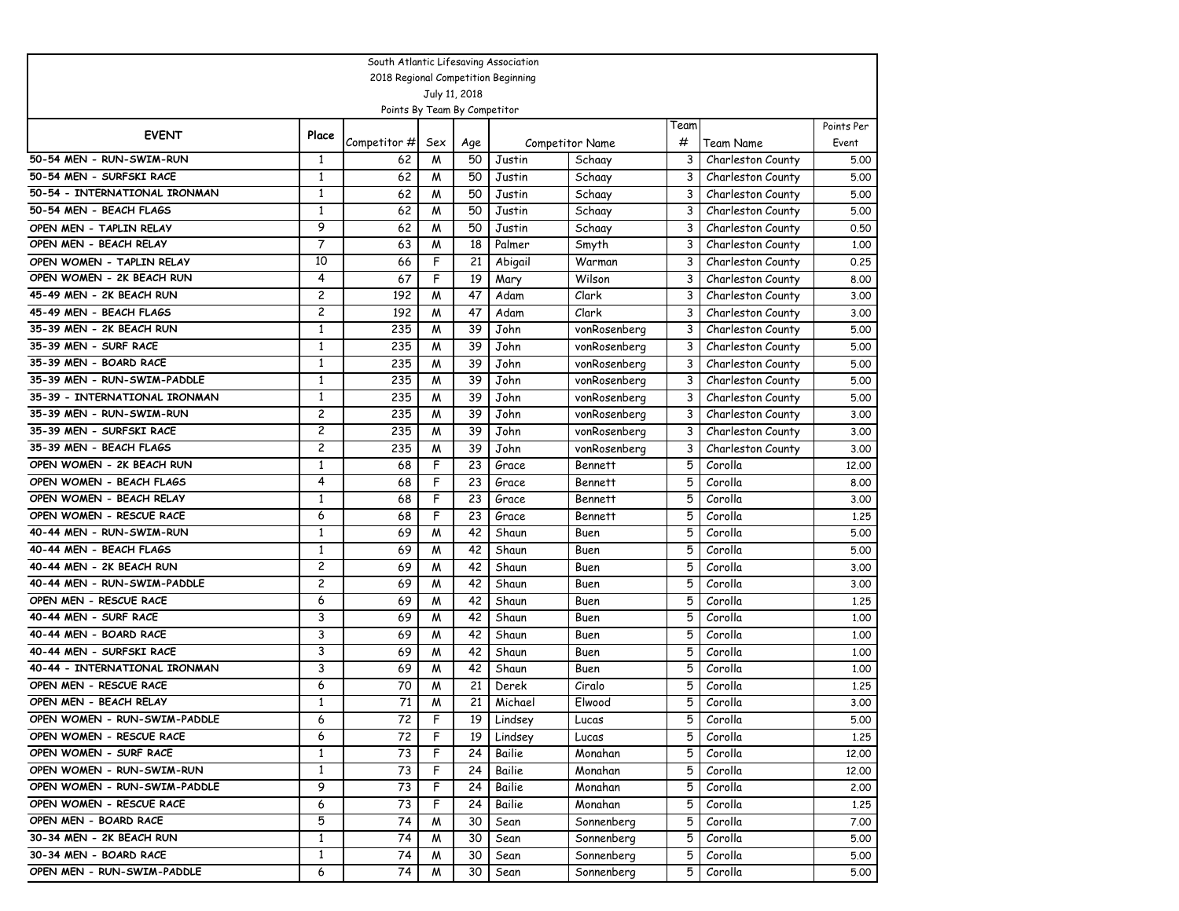| South Atlantic Lifesaving Association |                |                              |                |               |                                     |                        |                |                                        |                     |  |  |  |
|---------------------------------------|----------------|------------------------------|----------------|---------------|-------------------------------------|------------------------|----------------|----------------------------------------|---------------------|--|--|--|
|                                       |                |                              |                |               | 2018 Regional Competition Beginning |                        |                |                                        |                     |  |  |  |
|                                       |                |                              |                | July 11, 2018 |                                     |                        |                |                                        |                     |  |  |  |
|                                       |                | Points By Team By Competitor |                |               |                                     |                        |                |                                        |                     |  |  |  |
| <b>EVENT</b>                          | Place          |                              |                |               |                                     |                        | Team<br>#      |                                        | Points Per<br>Event |  |  |  |
| 50-54 MEN - RUN-SWIM-RUN              | 1              | Competitor #<br>62           | Sex<br>W       | Age<br>50     | Justin                              | <b>Competitor Name</b> | 3              | Team Name<br>Charleston County         | 5.00                |  |  |  |
| 50-54 MEN - SURFSKI RACE              | 1              | 62                           | M              | 50            | Justin                              | Schaay<br>Schaay       | 3              |                                        | 5.00                |  |  |  |
| 50-54 - INTERNATIONAL IRONMAN         | 1              | 62                           | W              | 50            |                                     |                        | 3              | Charleston County                      | 5.00                |  |  |  |
| 50-54 MEN - BEACH FLAGS               | $\mathbf{1}$   | 62                           | W              | 50            | Justin<br>Justin                    | Schaay<br>Schaay       | 3              | Charleston County<br>Charleston County | 5.00                |  |  |  |
| OPEN MEN - TAPLIN RELAY               | 9              | 62                           | W              | 50            | Justin                              | Schaay                 | 3              | Charleston County                      | 0.50                |  |  |  |
| OPEN MEN - BEACH RELAY                | $\overline{7}$ | 63                           | W              | 18            | Palmer                              | Smyth                  | 3              | Charleston County                      | 1,00                |  |  |  |
| OPEN WOMEN - TAPLIN RELAY             | 10             | 66                           | F              | 21            | Abigail                             | Warman                 | 3              | Charleston County                      | 0.25                |  |  |  |
| OPEN WOMEN - 2K BEACH RUN             | 4              | 67                           | F              | 19            | Mary                                | Wilson                 | 3              | Charleston County                      | 8.00                |  |  |  |
| 45-49 MEN - 2K BEACH RUN              | $\overline{c}$ | 192                          | M              | 47            | Adam                                | Clark                  | 3              | Charleston County                      | 3.00                |  |  |  |
| 45-49 MEN - BEACH FLAGS               | $\overline{c}$ | 192                          | W              | 47            | Adam                                | Clark                  | 3              | Charleston County                      | 3.00                |  |  |  |
| 35-39 MEN - 2K BEACH RUN              | $\mathbf{1}$   | 235                          | W              | 39            | John                                | vonRosenberg           | 3              | Charleston County                      | 5.00                |  |  |  |
| 35-39 MEN - SURF RACE                 | $\mathbf{1}$   | 235                          | M              | 39            | John                                | vonRosenberg           | 3              | Charleston County                      | 5.00                |  |  |  |
| 35-39 MEN - BOARD RACE                | $\mathbf{1}$   | 235                          | W              | 39            | John                                | vonRosenberg           | 3              | Charleston County                      | 5.00                |  |  |  |
| 35-39 MEN - RUN-SWIM-PADDLE           | $\mathbf{1}$   | 235                          | W              | 39            | John                                | vonRosenberg           | 3              | Charleston County                      | 5.00                |  |  |  |
| 35-39 - INTERNATIONAL IRONMAN         | $\mathbf{1}$   | 235                          | W              | 39            | John                                | vonRosenberg           | 3              | Charleston County                      | 5.00                |  |  |  |
| 35-39 MEN - RUN-SWIM-RUN              | 2              | 235                          | W              | 39            | John                                | vonRosenberg           | 3              | Charleston County                      | 3.00                |  |  |  |
| 35-39 MEN - SURFSKI RACE              | $\overline{c}$ | 235                          | W              | 39            | John                                | vonRosenberg           | 3              | Charleston County                      | 3.00                |  |  |  |
| 35-39 MEN - BEACH FLAGS               | $\overline{c}$ | 235                          | W              | 39            | John                                | vonRosenberg           | 3              | Charleston County                      | 3.00                |  |  |  |
| OPEN WOMEN - 2K BEACH RUN             | $\mathbf{1}$   | 68                           | F              | 23            | Grace                               | <b>Bennett</b>         | 5              | Corolla                                | 12,00               |  |  |  |
| OPEN WOMEN - BEACH FLAGS              | 4              | 68                           | F              | 23            | Grace                               | <b>Bennett</b>         | 5              | Corolla                                | 8.00                |  |  |  |
| OPEN WOMEN - BEACH RELAY              | $\mathbf{1}$   | 68                           | F              | 23            | Grace                               | <b>Bennett</b>         | 5              | Corolla                                | 3.00                |  |  |  |
| OPEN WOMEN - RESCUE RACE              | 6              | 68                           | F              | 23            | Grace                               | <b>Bennett</b>         | 5              | Corolla                                | 1,25                |  |  |  |
| 40-44 MEN - RUN-SWIM-RUN              | 1              | 69                           | W              | 42            | Shaun                               | Buen                   | 5              | Corolla                                | 5.00                |  |  |  |
| 40-44 MEN - BEACH FLAGS               | $\mathbf{1}$   | 69                           | M              | 42            | Shaun                               | Buen                   | 5              | Corolla                                | 5.00                |  |  |  |
| 40-44 MEN - 2K BEACH RUN              | $\overline{c}$ | 69                           | M              | 42            | Shaun                               | Buen                   | 5              | Corolla                                | 3.00                |  |  |  |
| 40-44 MEN - RUN-SWIM-PADDLE           | $\overline{c}$ | 69                           | M              | 42            | Shaun                               | Buen                   | 5              | Corolla                                | 3.00                |  |  |  |
| OPEN MEN - RESCUE RACE                | 6              | 69                           | M              | 42            | Shaun                               | Buen                   | 5              | Corolla                                | 1,25                |  |  |  |
| 40-44 MEN - SURF RACE                 | 3              | 69                           | M              | 42            | Shaun                               | Buen                   | 5              | Corolla                                | 1.00                |  |  |  |
| 40-44 MEN - BOARD RACE                | 3              | 69                           | M              | 42            | Shaun                               | Buen                   | 5              | Corolla                                | 1,00                |  |  |  |
| 40-44 MEN - SURFSKI RACE              | 3              | 69                           | W              | 42            | Shaun                               | Buen                   | 5              | Corolla                                | 1.00                |  |  |  |
| 40-44 - INTERNATIONAL IRONMAN         | 3              | 69                           | W              | 42            | Shaun                               | Buen                   | 5              | Corolla                                | 1,00                |  |  |  |
| OPEN MEN - RESCUE RACE                | 6              | 70                           | M              | 21            | Derek                               | Ciralo                 | 5              | Corolla                                | 1,25                |  |  |  |
| OPEN MEN - BEACH RELAY                | $\mathbf{1}$   | 71                           | W              | 21            | Michael                             | Flwood                 | 5              | Corolla                                | 3.00                |  |  |  |
| OPEN WOMEN - RUN-SWIM-PADDLE          | 6              | 72                           | $\overline{F}$ | 19            | Lindsey                             | Lucas                  | $\overline{5}$ | Corolla                                | 5.00                |  |  |  |
| OPEN WOMEN - RESCUE RACE              | 6              | 72                           | F              | 19            | Lindsey                             | Lucas                  | 5              | Corolla                                | 1.25                |  |  |  |
| OPEN WOMEN - SURF RACE                | $\mathbf{1}$   | 73                           | F              | 24            | Bailie                              | Monahan                | 5              | Corolla                                | 12,00               |  |  |  |
| OPEN WOMEN - RUN-SWIM-RUN             | $\mathbf{1}$   | 73                           | F              | 24            | Bailie                              | Monahan                | 5              | Corolla                                | 12.00               |  |  |  |
| OPEN WOMEN - RUN-SWIM-PADDLE          | 9              | 73                           | F              | 24            | Bailie                              | Monahan                | 5              | Corolla                                | 2.00                |  |  |  |
| OPEN WOMEN - RESCUE RACE              | 6              | 73                           | F              | 24            | Bailie                              | Monahan                | 5              | Corolla                                | 1.25                |  |  |  |
| OPEN MEN - BOARD RACE                 | 5              | 74                           | M              | 30            | Sean                                | Sonnenberg             | 5              | Corolla                                | 7.00                |  |  |  |
| 30-34 MEN - 2K BEACH RUN              | $\mathbf{1}$   | 74                           | M              | 30            | Sean                                | Sonnenberg             | 5              | Corolla                                | 5.00                |  |  |  |
| 30-34 MEN - BOARD RACE                | $\mathbf{1}$   | 74                           | M              | 30            | Sean                                | Sonnenberg             | 5              | Corolla                                | 5.00                |  |  |  |
| OPEN MEN - RUN-SWIM-PADDLE            | 6              | 74                           | M              | 30            | Sean                                | Sonnenberg             | 5              | Corolla                                | 5.00                |  |  |  |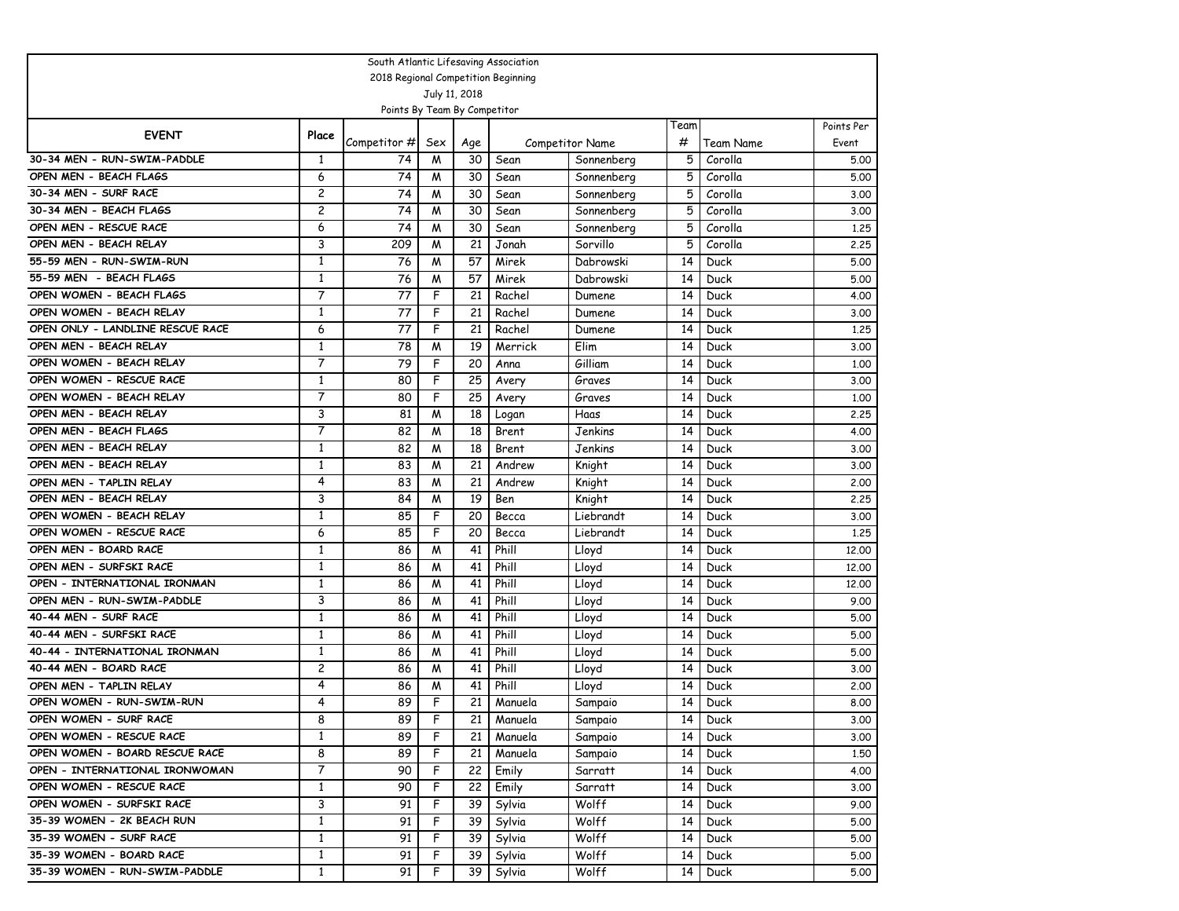| South Atlantic Lifesaving Association             |                |                                     |                |               |                |                        |        |                    |              |  |  |
|---------------------------------------------------|----------------|-------------------------------------|----------------|---------------|----------------|------------------------|--------|--------------------|--------------|--|--|
|                                                   |                | 2018 Regional Competition Beginning |                |               |                |                        |        |                    |              |  |  |
|                                                   |                |                                     |                | July 11, 2018 |                |                        |        |                    |              |  |  |
|                                                   |                | Points By Team By Competitor        |                |               |                |                        |        |                    |              |  |  |
| <b>EVENT</b>                                      | Place          |                                     |                |               |                |                        | Team   |                    | Points Per   |  |  |
|                                                   |                | Competitor #                        | Sex            | Age           |                | <b>Competitor Name</b> | #      | Team Name          | Event        |  |  |
| 30-34 MEN - RUN-SWIM-PADDLE                       | 1              | 74                                  | M              | 30            | Sean           | Sonnenberg             | 5      | Corolla            | 5.00         |  |  |
| OPEN MEN - BEACH FLAGS<br>30-34 MEN - SURF RACE   | 6<br>2         | 74                                  | M              | 30            | Sean           | Sonnenberg             | 5      | Corolla            | 5.00         |  |  |
|                                                   | $\overline{c}$ | 74<br>74                            | M              | 30            | Sean           | Sonnenberg             | 5<br>5 | Corolla<br>Corolla | 3.00         |  |  |
| 30-34 MEN - BEACH FLAGS<br>OPEN MEN - RESCUE RACE | 6              | 74                                  | M              | 30            | Sean           | Sonnenberg             | 5      |                    | 3.00         |  |  |
| OPEN MEN - BEACH RELAY                            | 3              | 209                                 | W<br>W         | 30<br>21      | Sean<br>Jonah  | Sonnenberg<br>Sorvillo | 5      | Corolla<br>Corolla | 1,25         |  |  |
| 55-59 MEN - RUN-SWIM-RUN                          | 1              | 76                                  |                | 57            |                |                        | 14     |                    | 2.25         |  |  |
| 55-59 MEN - BEACH FLAGS                           | 1              | 76                                  | M<br>M         | 57            | Mirek<br>Mirek | Dabrowski<br>Dabrowski | 14     | Duck               | 5.00<br>5.00 |  |  |
| OPEN WOMEN - BEACH FLAGS                          | 7              | 77                                  | F              | 21            | Rachel         |                        | 14     | Duck<br>Duck       |              |  |  |
| OPEN WOMEN - BEACH RELAY                          | $\mathbf{1}$   | 77                                  | F              | 21            | Rachel         | Dumene                 | 14     | Duck               | 4.00<br>3.00 |  |  |
| OPEN ONLY - LANDLINE RESCUE RACE                  | 6              | 77                                  | F              | 21            | Rachel         | Dumene<br>Dumene       | 14     | Duck               | 1,25         |  |  |
| OPEN MEN - BEACH RELAY                            | 1              | 78                                  | M              | 19            | Merrick        | Elim                   | 14     | Duck               | 3.00         |  |  |
| OPEN WOMEN - BEACH RELAY                          | 7              | 79                                  | F              | 20            | Anna           | Gilliam                | 14     | Duck               | 1.00         |  |  |
| OPEN WOMEN - RESCUE RACE                          | $\mathbf{1}$   | 80                                  | F              | 25            | Avery          | Graves                 | 14     | Duck               | 3.00         |  |  |
| OPEN WOMEN - BEACH RELAY                          | 7              | 80                                  | F              | 25            | Avery          | Graves                 | 14     | Duck               | 1,00         |  |  |
| OPEN MEN - BEACH RELAY                            | 3              | 81                                  | W              | 18            | Logan          | Haas                   | 14     | Duck               | 2.25         |  |  |
| OPEN MEN - BEACH FLAGS                            | 7              | 82                                  | M              | 18            | Brent          | Jenkins                | 14     | Duck               | 4.00         |  |  |
| OPEN MEN - BEACH RELAY                            | $\mathbf{1}$   | 82                                  | M              | 18            | Brent          | <b>Jenkins</b>         | 14     | Duck               | 3.00         |  |  |
| OPEN MEN - BEACH RELAY                            | $\mathbf{1}$   | 83                                  | M              | 21            | Andrew         | Knight                 | 14     | Duck               | 3.00         |  |  |
| OPEN MEN - TAPLIN RELAY                           | 4              | 83                                  | М              | 21            | Andrew         | Knight                 | 14     | Duck               | 2.00         |  |  |
| OPEN MEN - BEACH RELAY                            | 3              | 84                                  | W              | 19            | Ben            | Knight                 | 14     | Duck               | 2.25         |  |  |
| OPEN WOMEN - BEACH RELAY                          | 1              | 85                                  | F              | 20            | Becca          | Liebrandt              | 14     | Duck               | 3.00         |  |  |
| OPEN WOMEN - RESCUE RACE                          | 6              | 85                                  | F              | 20            | Becca          | Liebrandt              | 14     | Duck               | 1,25         |  |  |
| OPEN MEN - BOARD RACE                             | $\mathbf{1}$   | 86                                  | M              | 41            | Phill          | Lloyd                  | 14     | Duck               | 12,00        |  |  |
| OPEN MEN - SURFSKI RACE                           | $\mathbf{1}$   | 86                                  | M              | 41            | Phill          | Lloyd                  | 14     | Duck               | 12,00        |  |  |
| OPEN - INTERNATIONAL IRONMAN                      | $\mathbf{1}$   | 86                                  | W              | 41            | Phill          | Lloyd                  | 14     | Duck               | 12,00        |  |  |
| OPEN MEN - RUN-SWIM-PADDLE                        | 3              | 86                                  | M              | 41            | Phill          | Lloyd                  | 14     | Duck               | 9.00         |  |  |
| 40-44 MEN - SURF RACE                             | 1              | 86                                  | M              | 41            | Phill          | Lloyd                  | 14     | Duck               | 5.00         |  |  |
| 40-44 MEN - SURFSKI RACE                          | $\mathbf{1}$   | 86                                  | M              | 41            | Phill          | Lloyd                  | 14     | Duck               | 5.00         |  |  |
| 40-44 - INTERNATIONAL IRONMAN                     | $\mathbf{1}$   | 86                                  | M              | 41            | Phill          | Lloyd                  | 14     | Duck               | 5.00         |  |  |
| 40-44 MEN - BOARD RACE                            | 2              | 86                                  | M              | 41            | Phill          | Lloyd                  | 14     | Duck               | 3.00         |  |  |
| OPEN MEN - TAPLIN RELAY                           | 4              | 86                                  | M              | 41            | Phill          | Lloyd                  | 14     | Duck               | 2,00         |  |  |
| OPEN WOMEN - RUN-SWIM-RUN                         | 4              | 89                                  | F              | 21            | Manuela        | Sampaio                | 14     | Duck               | 8.00         |  |  |
| OPEN WOMEN - SURF RACE                            | 8              | 89                                  | $\overline{F}$ | 21            | Manuela        | Sampaio                |        | 14 Duck            | 3.00         |  |  |
| OPEN WOMEN - RESCUE RACE                          | $\mathbf{1}$   | 89                                  | F              | 21            | Manuela        | Sampaio                | 14     | Duck               | 3.00         |  |  |
| OPEN WOMEN - BOARD RESCUE RACE                    | 8              | 89                                  | F              | 21            | Manuela        | Sampaio                | 14     | Duck               | 1,50         |  |  |
| OPEN - INTERNATIONAL IRONWOMAN                    | 7              | 90                                  | F              | 22            | Emily          | Sarratt                | 14     | Duck               | 4.00         |  |  |
| OPEN WOMEN - RESCUE RACE                          | $\mathbf{1}$   | 90                                  | F              | 22            | Emily          | Sarratt                | 14     | Duck               | 3.00         |  |  |
| OPEN WOMEN - SURFSKI RACE                         | 3              | 91                                  | F              | 39            | Sylvia         | Wolff                  | 14     | Duck               | 9.00         |  |  |
| 35-39 WOMEN - 2K BEACH RUN                        | $\mathbf{1}$   | 91                                  | F              | 39            | Sylvia         | Wolff                  | 14     | Duck               | 5.00         |  |  |
| 35-39 WOMEN - SURF RACE                           | $\mathbf{1}$   | 91                                  | F              | 39            | Sylvia         | Wolff                  | 14     | Duck               | 5.00         |  |  |
| 35-39 WOMEN - BOARD RACE                          | $\mathbf{1}$   | 91                                  | F              | 39            | Sylvia         | Wolff                  | 14     | Duck               | 5.00         |  |  |
| 35-39 WOMEN - RUN-SWIM-PADDLE                     | $\mathbf{1}$   | 91                                  | F              | 39            | Sylvia         | Wolff                  | 14     | Duck               | 5.00         |  |  |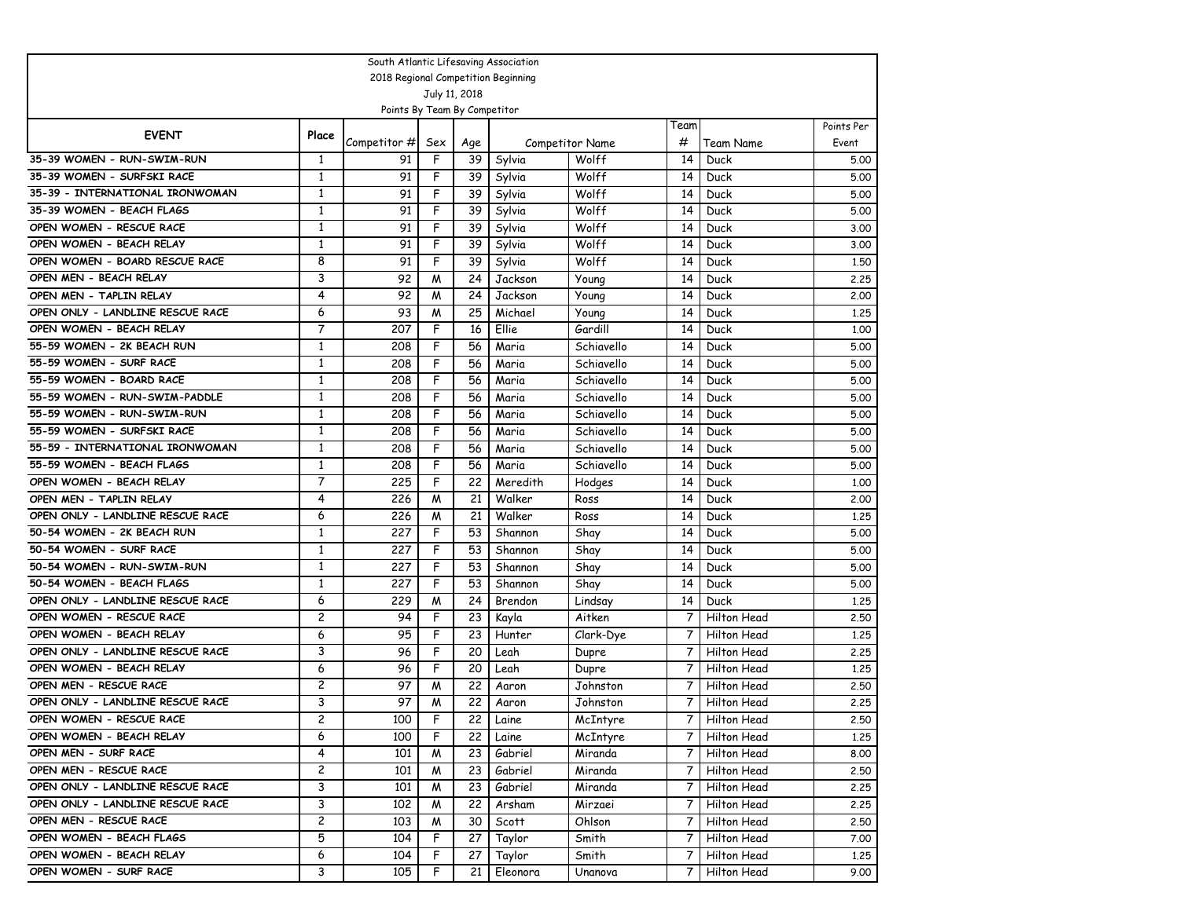| South Atlantic Lifesaving Association |                |                                     |                |           |                  |                                 |                |                   |                     |  |  |
|---------------------------------------|----------------|-------------------------------------|----------------|-----------|------------------|---------------------------------|----------------|-------------------|---------------------|--|--|
|                                       |                | 2018 Regional Competition Beginning |                |           |                  |                                 |                |                   |                     |  |  |
|                                       |                |                                     | July 11, 2018  |           |                  |                                 |                |                   |                     |  |  |
|                                       |                | Points By Team By Competitor        |                |           |                  |                                 |                |                   |                     |  |  |
| <b>EVENT</b>                          | Place          |                                     |                |           |                  |                                 | Team<br>#      |                   | Points Per<br>Event |  |  |
| 35-39 WOMEN - RUN-SWIM-RUN            | 1              | Competitor #<br>91                  | Sex<br>F       | Age<br>39 |                  | <b>Competitor Name</b><br>Wolff | 14             | Team Name<br>Duck | 5.00                |  |  |
| 35-39 WOMEN - SURFSKI RACE            | 1              | 91                                  | F              |           | Sylvia           | Wolff                           | 14             |                   |                     |  |  |
| 35-39 - INTERNATIONAL IRONWOMAN       | $\mathbf{1}$   | 91                                  | F              | 39<br>39  | Sylvia           | Wolff                           | 14             | Duck              | 5.00                |  |  |
| 35-39 WOMEN - BEACH FLAGS             | $\mathbf{1}$   | 91                                  | F              | 39        | Sylvia<br>Sylvia | Wolff                           | 14             | Duck<br>Duck      | 5.00<br>5.00        |  |  |
| OPEN WOMEN - RESCUE RACE              | $\mathbf{1}$   | 91                                  | F              | 39        | Sylvia           | Wolff                           | 14             | Duck              |                     |  |  |
| OPEN WOMEN - BEACH RELAY              | $\mathbf{1}$   | 91                                  | F              | 39        | Sylvia           | Wolff                           | 14             | Duck              | 3.00<br>3.00        |  |  |
| OPEN WOMEN - BOARD RESCUE RACE        | 8              | 91                                  | F              | 39        | Sylvia           | Wolff                           | 14             | Duck              | 1,50                |  |  |
| OPEN MEN - BEACH RELAY                | 3              | 92                                  | W              | 24        | Jackson          | Young                           | 14             | Duck              | 2.25                |  |  |
| OPEN MEN - TAPLIN RELAY               | 4              | 92                                  | W              | 24        | Jackson          | Young                           | 14             | Duck              | 2,00                |  |  |
| OPEN ONLY - LANDLINE RESCUE RACE      | 6              | 93                                  | W              | 25        | Michael          | Young                           | 14             | Duck              | 1,25                |  |  |
| OPEN WOMEN - BEACH RELAY              | 7              | 207                                 | F              | 16        | Ellie            | Gardill                         | 14             | Duck              | 1,00                |  |  |
| 55-59 WOMEN - 2K BEACH RUN            | 1              | 208                                 | F              | 56        | Maria            | Schiavello                      | 14             | Duck              | 5.00                |  |  |
| 55-59 WOMEN - SURF RACE               | $\mathbf{1}$   | 208                                 | F              | 56        | Maria            | Schiavello                      | 14             | Duck              | 5.00                |  |  |
| 55-59 WOMEN - BOARD RACE              | $\mathbf{1}$   | 208                                 | F              | 56        | Maria            | Schiavello                      | 14             | Duck              | 5.00                |  |  |
| 55-59 WOMEN - RUN-SWIM-PADDLE         | $\mathbf{1}$   | 208                                 | F              | 56        | Maria            | Schiavello                      | 14             | Duck              | 5.00                |  |  |
| 55-59 WOMEN - RUN-SWIM-RUN            | $\mathbf{1}$   | 208                                 | F              | 56        | Maria            | Schiavello                      | 14             | Duck              | 5.00                |  |  |
| 55-59 WOMEN - SURFSKI RACE            | $\mathbf{1}$   | 208                                 | F              | 56        | Maria            | Schiavello                      | 14             | Duck              | 5.00                |  |  |
| 55-59 - INTERNATIONAL IRONWOMAN       | $\mathbf{1}$   | 208                                 | F              | 56        | Maria            | Schiavello                      | 14             | Duck              | 5.00                |  |  |
| 55-59 WOMEN - BEACH FLAGS             | $\mathbf{1}$   | 208                                 | F              | 56        | Maria            | Schiavello                      | 14             | Duck              | 5.00                |  |  |
| OPEN WOMEN - BEACH RELAY              | 7              | 225                                 | F              | 22        | Meredith         | Hodges                          | 14             | Duck              | 1,00                |  |  |
| OPEN MEN - TAPLIN RELAY               | 4              | 226                                 | W              | 21        | Walker           | Ross                            | 14             | Duck              | 2,00                |  |  |
| OPEN ONLY - LANDLINE RESCUE RACE      | 6              | 226                                 | M              | 21        | Walker           | Ross                            | 14             | Duck              | 1,25                |  |  |
| 50-54 WOMEN - 2K BEACH RUN            | 1              | 227                                 | F              | 53        | Shannon          | Shay                            | 14             | Duck              | 5.00                |  |  |
| 50-54 WOMEN - SURF RACE               | $\mathbf{1}$   | 227                                 | F              | 53        | Shannon          | Shay                            | 14             | Duck              | 5.00                |  |  |
| 50-54 WOMEN - RUN-SWIM-RUN            | $\mathbf{1}$   | 227                                 | F              | 53        | Shannon          | Shay                            | 14             | Duck              | 5.00                |  |  |
| 50-54 WOMEN - BEACH FLAGS             | $\mathbf{1}$   | 227                                 | F              | 53        | Shannon          | Shay                            | 14             | Duck              | 5.00                |  |  |
| OPEN ONLY - LANDLINE RESCUE RACE      | 6              | 229                                 | W              | 24        | Brendon          | Lindsay                         | 14             | Duck              | 1,25                |  |  |
| OPEN WOMEN - RESCUE RACE              | $\overline{c}$ | 94                                  | F              | 23        | Kayla            | Aitken                          | 7              | Hilton Head       | 2.50                |  |  |
| OPEN WOMEN - BEACH RELAY              | 6              | 95                                  | F              | 23        | Hunter           | Clark-Dye                       | 7              | Hilton Head       | 1,25                |  |  |
| OPEN ONLY - LANDLINE RESCUE RACE      | 3              | 96                                  | F              | 20        | Leah             | Dupre                           | 7              | Hilton Head       | 2.25                |  |  |
| OPEN WOMEN - BEACH RELAY              | 6              | 96                                  | F              | 20        | Leah             | Dupre                           | 7              | Hilton Head       | 1,25                |  |  |
| OPEN MEN - RESCUE RACE                | $\overline{c}$ | 97                                  | M              | 22        | Aaron            | Johnston                        | 7              | Hilton Head       | 2.50                |  |  |
| OPEN ONLY - LANDLINE RESCUE RACE      | 3              | 97                                  | W              | 22        | Aaron            | Johnston                        | 7              | Hilton Head       | 2.25                |  |  |
| OPEN WOMEN - RESCUE RACE              | $\overline{c}$ | 100                                 | $\overline{F}$ | 22        | Laine            | McIntyre                        | $\overline{7}$ | Hilton Head       | 2.50                |  |  |
| OPEN WOMEN - BEACH RELAY              | 6              | 100                                 | F              | 22        | Laine            | McIntyre                        | $\overline{7}$ | Hilton Head       | 1.25                |  |  |
| OPEN MEN - SURF RACE                  | 4              | 101                                 | M              | 23        | Gabriel          | Miranda                         | 7              | Hilton Head       | 8.00                |  |  |
| OPEN MEN - RESCUE RACE                | $\overline{c}$ | 101                                 | M              | 23        | Gabriel          | Miranda                         | 7              | Hilton Head       | 2.50                |  |  |
| OPEN ONLY - LANDLINE RESCUE RACE      | 3              | 101                                 | M              | 23        | Gabriel          | Miranda                         | 7              | Hilton Head       | 2.25                |  |  |
| OPEN ONLY - LANDLINE RESCUE RACE      | 3              | 102                                 | M              | 22        | Arsham           | Mirzaei                         | $\overline{7}$ | Hilton Head       | 2.25                |  |  |
| OPEN MEN - RESCUE RACE                | $\overline{c}$ | 103                                 | M              | 30        | Scott            | Ohlson                          | 7              | Hilton Head       | 2.50                |  |  |
| OPEN WOMEN - BEACH FLAGS              | 5              | 104                                 | F.             | 27        | Taylor           | Smith                           | 7              | Hilton Head       | 7.00                |  |  |
| OPEN WOMEN - BEACH RELAY              | 6              | 104                                 | F.             | 27        | Taylor           | Smith                           | 7              | Hilton Head       | 1.25                |  |  |
| OPEN WOMEN - SURF RACE                | 3              | 105                                 | F              | 21        | Eleonora         | Unanova                         | 7              | Hilton Head       | 9.00                |  |  |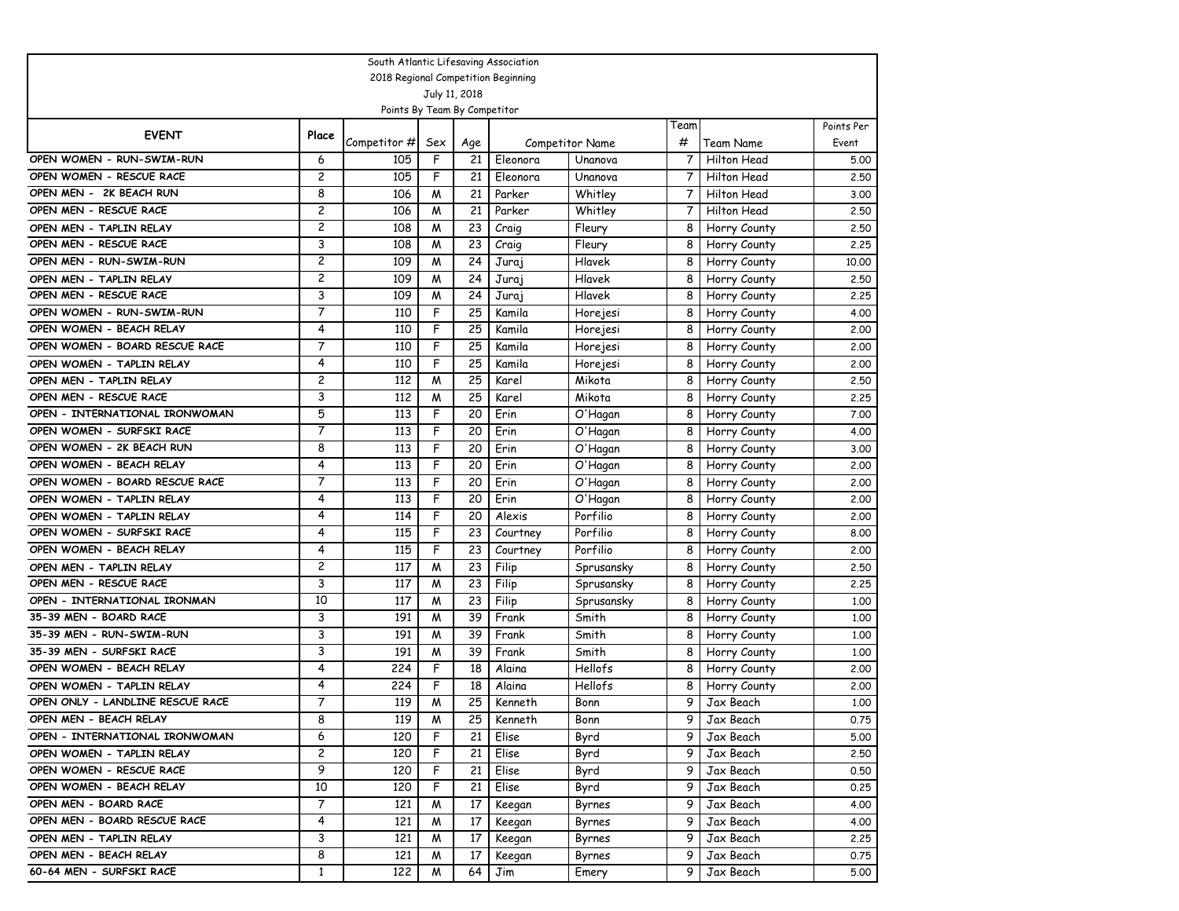| South Atlantic Lifesaving Association |                |                                     |                         |           |                    |                                   |           |                                 |                     |  |  |
|---------------------------------------|----------------|-------------------------------------|-------------------------|-----------|--------------------|-----------------------------------|-----------|---------------------------------|---------------------|--|--|
|                                       |                | 2018 Regional Competition Beginning |                         |           |                    |                                   |           |                                 |                     |  |  |
|                                       |                |                                     | July 11, 2018           |           |                    |                                   |           |                                 |                     |  |  |
|                                       |                | Points By Team By Competitor        |                         |           |                    |                                   |           |                                 |                     |  |  |
| <b>EVENT</b>                          | Place          | Competitor #                        |                         |           |                    |                                   | Team<br># |                                 | Points Per<br>Event |  |  |
| OPEN WOMEN - RUN-SWIM-RUN             | 6              | 105                                 | Sex<br>F                | Age<br>21 | Eleonora           | <b>Competitor Name</b><br>Unanova | 7         | Team Name<br><b>Hilton Head</b> | 5.00                |  |  |
| OPEN WOMEN - RESCUE RACE              | $\overline{c}$ | 105                                 | F                       | 21        |                    |                                   | 7         |                                 |                     |  |  |
| OPEN MEN - 2K BEACH RUN               | 8              | 106                                 | W                       | 21        | Eleonora<br>Parker | Unanova                           | 7         | Hilton Head<br>Hilton Head      | 2.50                |  |  |
| OPEN MEN - RESCUE RACE                | $\overline{c}$ | 106                                 | W                       | 21        | Parker             | Whitley<br>Whitley                | 7         | Hilton Head                     | 3.00<br>2,50        |  |  |
| OPEN MEN - TAPLIN RELAY               | $\overline{c}$ | 108                                 | W                       | 23        |                    |                                   | 8         |                                 | 2.50                |  |  |
| OPEN MEN - RESCUE RACE                | 3              | 108                                 | W                       | 23        | Craig<br>Craig     | Fleury<br>Fleury                  | 8         | Horry County<br>Horry County    | 2.25                |  |  |
| OPEN MEN - RUN-SWIM-RUN               | $\overline{c}$ | 109                                 | M                       | 24        |                    | Hlavek                            | 8         |                                 | 10,00               |  |  |
| OPEN MEN - TAPLIN RELAY               | $\overline{c}$ | 109                                 | W                       | 24        | Juraj<br>Juraj     | Hlavek                            | 8         | Horry County                    | 2.50                |  |  |
| OPEN MEN - RESCUE RACE                | 3              | 109                                 | W                       | 24        | Juraj              | Hlavek                            | 8         | Horry County<br>Horry County    | 2.25                |  |  |
| OPEN WOMEN - RUN-SWIM-RUN             | 7              | 110                                 | F                       | 25        | Kamila             | Horejesi                          | 8         | Horry County                    | 4.00                |  |  |
| OPEN WOMEN - BEACH RELAY              | 4              | 110                                 | F                       | 25        | Kamila             | Horejesi                          | 8         | Horry County                    | 2,00                |  |  |
| OPEN WOMEN - BOARD RESCUE RACE        | 7              | 110                                 | F                       | 25        | Kamila             |                                   | 8         | Horry County                    | 2,00                |  |  |
| OPEN WOMEN - TAPLIN RELAY             | 4              | 110                                 | F                       | 25        | Kamila             | Horejesi<br>Horejesi              | 8         | Horry County                    | 2,00                |  |  |
| OPEN MEN - TAPLIN RELAY               | $\overline{c}$ | 112                                 | W                       | 25        | Karel              | Mikota                            | 8         | Horry County                    | 2.50                |  |  |
| OPEN MEN - RESCUE RACE                | 3              | 112                                 | W                       | 25        | Karel              | Mikota                            | 8         | Horry County                    | 2.25                |  |  |
| OPEN - INTERNATIONAL IRONWOMAN        | 5              | 113                                 | F                       | 20        | Erin               | O'Hagan                           | 8         | Horry County                    | 7.00                |  |  |
| OPEN WOMEN - SURFSKI RACE             | 7              | 113                                 | F                       | 20        | Erin               | O'Hagan                           | 8         | Horry County                    | 4.00                |  |  |
| OPEN WOMEN - 2K BEACH RUN             | 8              | 113                                 | F                       | 20        | Erin               | O'Hagan                           | 8         | Horry County                    | 3.00                |  |  |
| OPEN WOMEN - BEACH RELAY              | 4              | 113                                 | F                       | 20        | Erin               | O'Hagan                           | 8         | Horry County                    | 2,00                |  |  |
| OPEN WOMEN - BOARD RESCUE RACE        | 7              | 113                                 | F                       | 20        | Erin               | O'Hagan                           | 8         | Horry County                    | 2,00                |  |  |
| OPEN WOMEN - TAPLIN RELAY             | 4              | 113                                 | F                       | 20        | Erin               | O'Hagan                           | 8         | Horry County                    | 2,00                |  |  |
| OPEN WOMEN - TAPLIN RELAY             | 4              | 114                                 | F                       | 20        | Alexis             | Porfilio                          | 8         | Horry County                    | 2,00                |  |  |
| OPEN WOMEN - SURFSKI RACE             | 4              | 115                                 | F                       | 23        | Courtney           | Porfilio                          | 8         | Horry County                    | 8.00                |  |  |
| OPEN WOMEN - BEACH RELAY              | 4              | 115                                 | F                       | 23        | Courtney           | Porfilio                          | 8         | Horry County                    | 2,00                |  |  |
| OPEN MEN - TAPLIN RELAY               | $\overline{c}$ | 117                                 | W                       | 23        | Filip              | Sprusansky                        | 8         | Horry County                    | 2.50                |  |  |
| OPEN MEN - RESCUE RACE                | 3              | 117                                 | W                       | 23        | Filip              | Sprusansky                        | 8         | Horry County                    | 2.25                |  |  |
| OPEN - INTERNATIONAL IRONMAN          | 10             | 117                                 | M                       | 23        | Filip              | Sprusansky                        | 8         | Horry County                    | 1.00                |  |  |
| 35-39 MEN - BOARD RACE                | 3              | 191                                 | W                       | 39        | Frank              | Smith                             | 8         | Horry County                    | 1.00                |  |  |
| 35-39 MEN - RUN-SWIM-RUN              | 3              | 191                                 | W                       | 39        | Frank              | Smith                             | 8         | Horry County                    | 1.00                |  |  |
| 35-39 MEN - SURFSKI RACE              | 3              | 191                                 | W                       | 39        | Frank              | Smith                             | 8         | Horry County                    | 1.00                |  |  |
| OPEN WOMEN - BEACH RELAY              | 4              | 224                                 | F                       | 18        | Alaina             | Hellofs                           | 8         | Horry County                    | 2.00                |  |  |
| OPEN WOMEN - TAPLIN RELAY             | 4              | 224                                 | F                       | 18        | Alaina             | Hellofs                           | 8         | Horry County                    | 2,00                |  |  |
| OPEN ONLY - LANDLINE RESCUE RACE      | 7              | 119                                 | W                       | 25        | Kenneth            | Bonn                              | 9         | Jax Beach                       | 1,00                |  |  |
| OPEN MEN - BEACH RELAY                | 8              | 119                                 | $\overline{\mathsf{M}}$ | 25        | Kenneth            | Bonn                              | 9         | Jax Beach                       | 0.75                |  |  |
| OPEN - INTERNATIONAL IRONWOMAN        | 6              | 120                                 | F                       | 21        | Elise              | Byrd                              | 9         | Jax Beach                       | 5.00                |  |  |
| OPEN WOMEN - TAPLIN RELAY             | $\overline{c}$ | 120                                 | F                       | 21        | Elise              | Byrd                              | 9         | Jax Beach                       | 2.50                |  |  |
| OPEN WOMEN - RESCUE RACE              | 9              | 120                                 | F                       | 21        | Elise              | Byrd                              | 9         | Jax Beach                       | 0.50                |  |  |
| OPEN WOMEN - BEACH RELAY              | 10             | 120                                 | F                       | 21        | Elise              | Byrd                              | 9         | Jax Beach                       | 0.25                |  |  |
| OPEN MEN - BOARD RACE                 | $\overline{7}$ | 121                                 | M                       | 17        | Keegan             | Byrnes                            | 9         | Jax Beach                       | 4.00                |  |  |
| OPEN MEN - BOARD RESCUE RACE          | 4              | 121                                 | M                       | 17        | Keegan             | Byrnes                            | 9         | Jax Beach                       | 4.00                |  |  |
| OPEN MEN - TAPLIN RELAY               | 3              | 121                                 | M                       | 17        | Keegan             | Byrnes                            | 9         | Jax Beach                       | 2.25                |  |  |
| OPEN MEN - BEACH RELAY                | 8              | 121                                 | M                       | 17        | Keegan             | Byrnes                            | 9         | Jax Beach                       | 0.75                |  |  |
| 60-64 MEN - SURFSKI RACE              | $\mathbf{1}$   | 122                                 | M                       | 64        | Jim                | Emery                             | 9         | Jax Beach                       | 5.00                |  |  |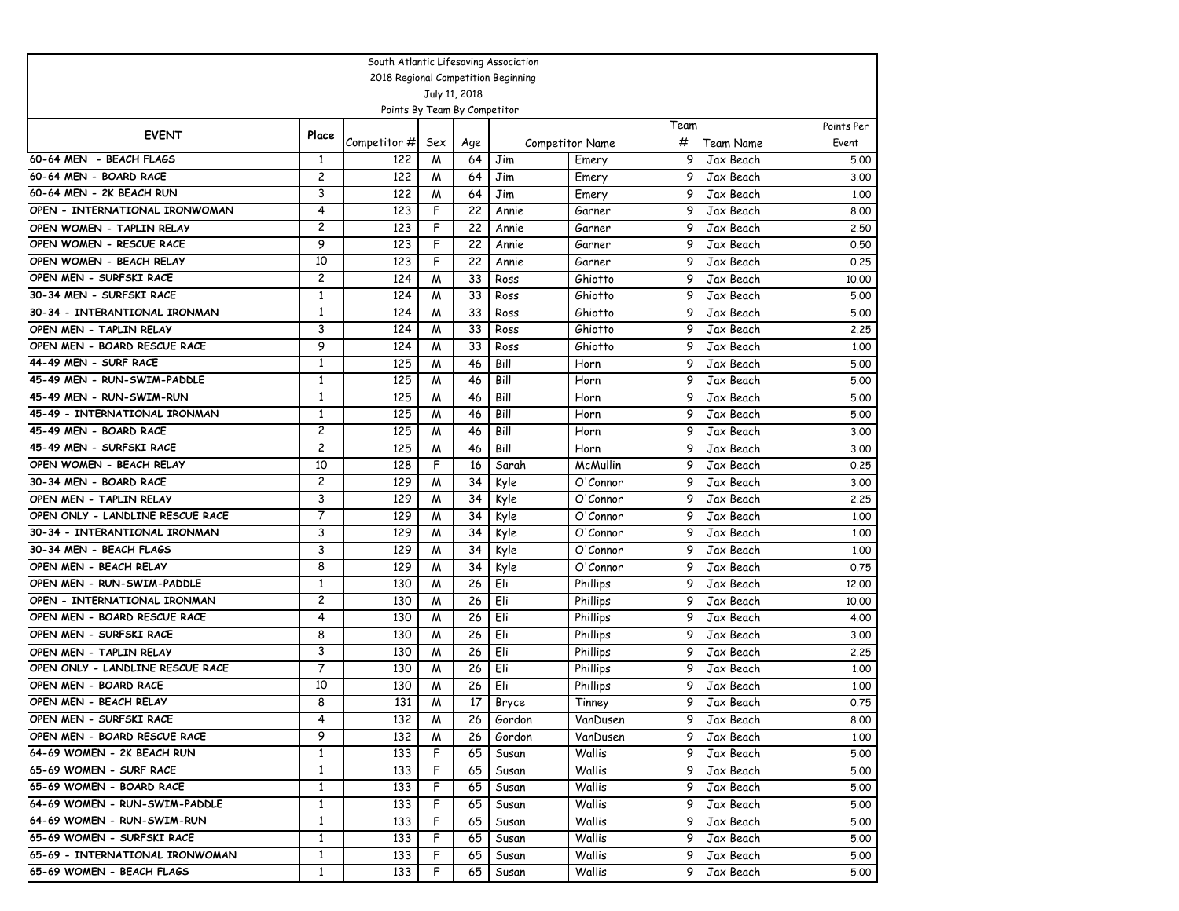| South Atlantic Lifesaving Association                   |                      |                                     |                |               |              |                        |        |                        |              |  |  |  |
|---------------------------------------------------------|----------------------|-------------------------------------|----------------|---------------|--------------|------------------------|--------|------------------------|--------------|--|--|--|
|                                                         |                      | 2018 Regional Competition Beginning |                |               |              |                        |        |                        |              |  |  |  |
|                                                         |                      |                                     |                | July 11, 2018 |              |                        |        |                        |              |  |  |  |
|                                                         |                      | Points By Team By Competitor        |                |               |              |                        |        |                        |              |  |  |  |
| <b>EVENT</b>                                            | Place                |                                     |                |               |              |                        | Team   |                        | Points Per   |  |  |  |
|                                                         |                      | Competitor #                        | Sex            | Age           |              | <b>Competitor Name</b> | #      | Team Name              | Event        |  |  |  |
| 60-64 MEN - BEACH FLAGS                                 | 1                    | 122                                 | W              | 64            | Jim          | Emery                  | 9      | Jax Beach              | 5.00         |  |  |  |
| 60-64 MEN - BOARD RACE                                  | $\overline{c}$       | 122                                 | M              | 64            | Jim          | Emery                  | 9      | Jax Beach              | 3.00         |  |  |  |
| 60-64 MEN - 2K BEACH RUN                                | 3                    | 122                                 | W              | 64            | Jim          | Emery                  | 9      | Jax Beach              | 1.00         |  |  |  |
| OPEN - INTERNATIONAL IRONWOMAN                          | 4                    | 123                                 | F              | 22            | Annie        | Garner                 | 9      | Jax Beach              | 8.00         |  |  |  |
| OPEN WOMEN - TAPLIN RELAY                               | $\overline{c}$<br>9  | 123                                 | F<br>F         | 22            | Annie        | Garner                 | 9      | Jax Beach              | 2.50         |  |  |  |
| OPEN WOMEN - RESCUE RACE                                |                      | 123                                 |                | 22            | Annie        | Garner                 | 9      | Jax Beach              | 0.50         |  |  |  |
| OPEN WOMEN - BEACH RELAY<br>OPEN MEN - SURFSKI RACE     | 10<br>$\overline{c}$ | 123                                 | F              | 22            | Annie        | Garner                 | 9      | Jax Beach              | 0.25         |  |  |  |
| 30-34 MEN - SURFSKI RACE                                | $\mathbf{1}$         | 124                                 | W              | 33<br>33      | Ross         | Ghiotto                | 9<br>9 | Jax Beach              | 10.00        |  |  |  |
| 30-34 - INTERANTIONAL IRONMAN                           | $\mathbf{1}$         | 124                                 | M              |               | Ross         | Ghiotto                | 9      | Jax Beach              | 5.00         |  |  |  |
|                                                         | 3                    | 124                                 | W              | 33            | Ross         | Ghiotto                |        | Jax Beach              | 5.00         |  |  |  |
| OPEN MEN - TAPLIN RELAY<br>OPEN MEN - BOARD RESCUE RACE | 9                    | 124                                 | M              | 33            | Ross         | Ghiotto                | 9      | Jax Beach              | 2.25         |  |  |  |
| 44-49 MEN - SURF RACE                                   | $\mathbf{1}$         | 124<br>125                          | M              | 33            | Ross         | Ghiotto                | 9<br>9 | Jax Beach              | 1.00         |  |  |  |
| 45-49 MEN - RUN-SWIM-PADDLE                             | $\mathbf{1}$         | 125                                 | W<br>M         | 46<br>46      | Bill<br>Bill | Horn<br>Horn           | 9      | Jax Beach<br>Jax Beach | 5.00         |  |  |  |
| 45-49 MEN - RUN-SWIM-RUN                                | $\mathbf{1}$         | 125                                 | W              | 46            | Bill         | Horn                   | 9      | Jax Beach              | 5.00         |  |  |  |
| 45-49 - INTERNATIONAL IRONMAN                           | $\mathbf{1}$         | 125                                 | W              | 46            | Bill         | Horn                   | 9      | Jax Beach              | 5.00<br>5.00 |  |  |  |
| 45-49 MEN - BOARD RACE                                  | $\overline{c}$       | 125                                 | W              | 46            | Bill         | Horn                   | 9      | Jax Beach              | 3.00         |  |  |  |
| 45-49 MEN - SURFSKI RACE                                | $\overline{c}$       | 125                                 | W              | 46            | Bill         | Horn                   | 9      | Jax Beach              | 3.00         |  |  |  |
| OPEN WOMEN - BEACH RELAY                                | 10                   | 128                                 | F              | 16            | Sarah        | McMullin               | 9      | Jax Beach              | 0.25         |  |  |  |
| 30-34 MEN - BOARD RACE                                  | 2                    | 129                                 | W              | 34            | Kyle         | O'Connor               | 9      | Jax Beach              | 3.00         |  |  |  |
| OPEN MEN - TAPLIN RELAY                                 | 3                    | 129                                 | W              | 34            | Kyle         | O'Connor               | 9      | Jax Beach              | 2.25         |  |  |  |
| OPEN ONLY - LANDLINE RESCUE RACE                        | 7                    | 129                                 | M              | 34            | Kyle         | O'Connor               | 9      | Jax Beach              | 1.00         |  |  |  |
| 30-34 - INTERANTIONAL IRONMAN                           | 3                    | 129                                 | W              | 34            | Kyle         | O'Connor               | 9      | Jax Beach              | 1.00         |  |  |  |
| 30-34 MEN - BEACH FLAGS                                 | 3                    | 129                                 | M              | 34            | Kyle         | O'Connor               | 9      | Jax Beach              | 1.00         |  |  |  |
| OPEN MEN - BEACH RELAY                                  | 8                    | 129                                 | W              | 34            | Kyle         | O'Connor               | 9      | Jax Beach              | 0.75         |  |  |  |
| OPEN MEN - RUN-SWIM-PADDLE                              | $\mathbf{1}$         | 130                                 | W              | 26            | Eli          | Phillips               | 9      | Jax Beach              | 12,00        |  |  |  |
| OPEN - INTERNATIONAL IRONMAN                            | $\overline{c}$       | 130                                 | M              | 26            | Eli          | Phillips               | 9      | Jax Beach              | 10,00        |  |  |  |
| OPEN MEN - BOARD RESCUE RACE                            | 4                    | 130                                 | W              | 26            | Eli          | Phillips               | 9      | Jax Beach              | 4.00         |  |  |  |
| OPEN MEN - SURFSKI RACE                                 | 8                    | 130                                 | M              | 26            | Eli          | Phillips               | 9      | Jax Beach              | 3.00         |  |  |  |
| OPEN MEN - TAPLIN RELAY                                 | 3                    | 130                                 | M              | 26            | Eli          | Phillips               | 9      | Jax Beach              | 2.25         |  |  |  |
| OPEN ONLY - LANDLINE RESCUE RACE                        | 7                    | 130                                 | W              | 26            | Eli          | Phillips               | 9      | Jax Beach              | 1,00         |  |  |  |
| OPEN MEN - BOARD RACE                                   | 10                   | 130                                 | M              | 26            | Eli          | Phillips               | 9      | Jax Beach              | 1.00         |  |  |  |
| OPEN MEN - BEACH RELAY                                  | 8                    | 131                                 | W              | 17            | Bryce        | Tinney                 | 9      | Jax Beach              | 0.75         |  |  |  |
| OPEN MEN - SURFSKI RACE                                 |                      | 132                                 | $\overline{M}$ | 26            | Gordon       | VanDusen               |        | 9 Jax Beach            | 8.00         |  |  |  |
| OPEN MEN - BOARD RESCUE RACE                            | 9                    | 132                                 | M              | 26            | Gordon       | VanDusen               | 9      | Jax Beach              | 1.00         |  |  |  |
| 64-69 WOMEN - 2K BEACH RUN                              | $\mathbf{1}$         | 133                                 | F.             | 65            | Susan        | Wallis                 | 9      | Jax Beach              | 5.00         |  |  |  |
| 65-69 WOMEN - SURF RACE                                 | $\mathbf{1}$         | 133                                 | F.             | 65            | Susan        | Wallis                 | 9      | Jax Beach              | 5.00         |  |  |  |
| 65-69 WOMEN - BOARD RACE                                | $\mathbf{1}$         | 133                                 | F              | 65            | Susan        | Wallis                 | 9      | Jax Beach              | 5.00         |  |  |  |
| 64-69 WOMEN - RUN-SWIM-PADDLE                           | $\mathbf{1}$         | 133                                 | F              | 65            | Susan        | Wallis                 | 9      | Jax Beach              | 5.00         |  |  |  |
| 64-69 WOMEN - RUN-SWIM-RUN                              | $\mathbf{1}$         | 133                                 | F              | 65            | Susan        | Wallis                 | 9      | Jax Beach              | 5.00         |  |  |  |
| 65-69 WOMEN - SURFSKI RACE                              | $\mathbf{1}$         | 133                                 | F.             | 65            | Susan        | Wallis                 | 9      | Jax Beach              | 5.00         |  |  |  |
| 65-69 - INTERNATIONAL IRONWOMAN                         | $\mathbf{1}$         | 133                                 | F.             | 65            | Susan        | Wallis                 | 9      | Jax Beach              | 5.00         |  |  |  |
| 65-69 WOMEN - BEACH FLAGS                               | $\mathbf{1}$         | 133                                 | F              | 65            | Susan        | Wallis                 | 9      | Jax Beach              | 5.00         |  |  |  |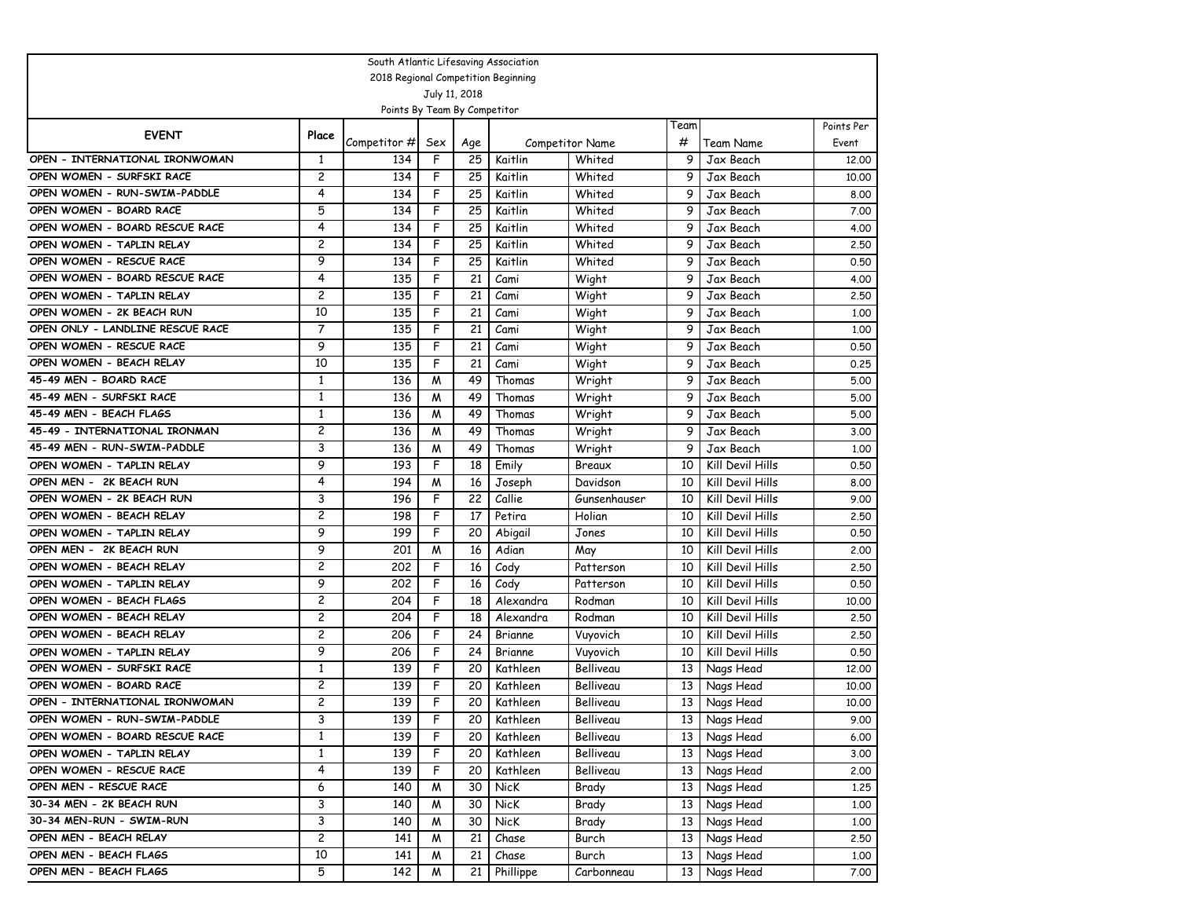| South Atlantic Lifesaving Association                     |                     |                                     |               |                 |                    |                        |        |                         |              |  |  |  |
|-----------------------------------------------------------|---------------------|-------------------------------------|---------------|-----------------|--------------------|------------------------|--------|-------------------------|--------------|--|--|--|
|                                                           |                     | 2018 Regional Competition Beginning |               |                 |                    |                        |        |                         |              |  |  |  |
|                                                           |                     |                                     | July 11, 2018 |                 |                    |                        |        |                         |              |  |  |  |
|                                                           |                     | Points By Team By Competitor        |               |                 |                    |                        |        |                         |              |  |  |  |
| <b>EVENT</b>                                              | Place               |                                     |               |                 |                    |                        | Team   |                         | Points Per   |  |  |  |
|                                                           |                     | Competitor #                        | Sex           | Age             |                    | <b>Competitor Name</b> | #      | Team Name               | Event        |  |  |  |
| OPEN - INTERNATIONAL IRONWOMAN                            | 1<br>$\overline{c}$ | 134                                 | F             | 25              | Kaitlin            | Whited                 | 9      | Jax Beach               | 12,00        |  |  |  |
| OPEN WOMEN - SURFSKI RACE<br>OPEN WOMEN - RUN-SWIM-PADDLE | 4                   | 134                                 | F             | 25              | Kaitlin            | Whited                 | 9      | Jax Beach               | 10,00        |  |  |  |
|                                                           | 5                   | 134                                 | F<br>F        | 25              | Kaitlin            | Whited                 | 9      | Jax Beach               | 8.00         |  |  |  |
| OPEN WOMEN - BOARD RACE<br>OPEN WOMEN - BOARD RESCUE RACE | 4                   | 134<br>134                          |               | 25<br>25        | Kaitlin            | Whited                 | 9<br>9 | Jax Beach               | 7.00         |  |  |  |
| OPEN WOMEN - TAPLIN RELAY                                 | $\overline{c}$      | 134                                 | F<br>F        | 25              | Kaitlin<br>Kaitlin | Whited<br>Whited       | 9      | Jax Beach<br>Jax Beach  | 4.00<br>2.50 |  |  |  |
| OPEN WOMEN - RESCUE RACE                                  | 9                   |                                     | F             |                 |                    | Whited                 | 9      |                         |              |  |  |  |
| OPEN WOMEN - BOARD RESCUE RACE                            | 4                   | 134<br>135                          | F             | 25<br>21        | Kaitlin            | Wight                  | 9      | Jax Beach<br>Jax Beach  | 0.50<br>4.00 |  |  |  |
| OPEN WOMEN - TAPLIN RELAY                                 | $\overline{c}$      | 135                                 | F             | 21              | Cami<br>Cami       | Wight                  | 9      | Jax Beach               | 2.50         |  |  |  |
| OPEN WOMEN - 2K BEACH RUN                                 | 10                  | 135                                 | F             | 21              | Cami               | Wight                  | 9      | Jax Beach               | 1.00         |  |  |  |
| OPEN ONLY - LANDLINE RESCUE RACE                          | 7                   | 135                                 | F             | 21              | Cami               | Wight                  | 9      | Jax Beach               | 1,00         |  |  |  |
| OPEN WOMEN - RESCUE RACE                                  | 9                   | 135                                 | F             | 21              | Cami               | Wight                  | 9      | Jax Beach               | 0.50         |  |  |  |
| OPEN WOMEN - BEACH RELAY                                  | 10                  | 135                                 | F             | 21              | Cami               | Wight                  | 9      | Jax Beach               | 0.25         |  |  |  |
| 45-49 MEN - BOARD RACE                                    | 1                   | 136                                 | W             | 49              | Thomas             | Wright                 | 9      | Jax Beach               | 5.00         |  |  |  |
| 45-49 MEN - SURFSKI RACE                                  | $\mathbf{1}$        | 136                                 | W             | 49              | Thomas             | Wright                 | 9      | Jax Beach               | 5.00         |  |  |  |
| 45-49 MEN - BEACH FLAGS                                   | $\mathbf{1}$        | 136                                 | W             | 49              | Thomas             | Wright                 | 9      | Jax Beach               | 5.00         |  |  |  |
| 45-49 - INTERNATIONAL IRONMAN                             | $\overline{c}$      | 136                                 | W             | 49              | Thomas             | Wright                 | 9      | Jax Beach               | 3.00         |  |  |  |
| 45-49 MEN - RUN-SWIM-PADDLE                               | 3                   | 136                                 | W             | 49              | Thomas             | Wright                 | 9      | Jax Beach               | 1,00         |  |  |  |
| OPEN WOMEN - TAPLIN RELAY                                 | 9                   | 193                                 | F             | 18              | Emily              | Breaux                 | 10     | Kill Devil Hills        | 0.50         |  |  |  |
| OPEN MEN - 2K BEACH RUN                                   | 4                   | 194                                 | W             | 16              | Joseph             | Davidson               | 10     | Kill Devil Hills        | 8.00         |  |  |  |
| OPEN WOMEN - 2K BEACH RUN                                 | 3                   | 196                                 | F             | 22              | Callie             | Gunsenhauser           | 10     | <b>Kill Devil Hills</b> | 9.00         |  |  |  |
| OPEN WOMEN - BEACH RELAY                                  | 2                   | 198                                 | F             | 17              | Petira             | Holian                 | 10     | Kill Devil Hills        | 2.50         |  |  |  |
| OPEN WOMEN - TAPLIN RELAY                                 | 9                   | 199                                 | F             | 20              | Abigail            | Jones                  | 10     | Kill Devil Hills        | 0.50         |  |  |  |
| OPEN MEN - 2K BEACH RUN                                   | 9                   | 201                                 | W             | 16              | Adian              | May                    | 10     | Kill Devil Hills        | 2.00         |  |  |  |
| OPEN WOMEN - BEACH RELAY                                  | $\overline{c}$      | 202                                 | F             | 16              | Cody               | Patterson              | 10     | Kill Devil Hills        | 2.50         |  |  |  |
| OPEN WOMEN - TAPLIN RELAY                                 | 9                   | 202                                 | F             | 16              | Cody               | Patterson              | 10     | Kill Devil Hills        | 0.50         |  |  |  |
| OPEN WOMEN - BEACH FLAGS                                  | 2                   | 204                                 | F             | 18              | Alexandra          | Rodman                 | 10     | Kill Devil Hills        | 10,00        |  |  |  |
| OPEN WOMEN - BEACH RELAY                                  | $\overline{c}$      | 204                                 | F             | 18              | Alexandra          | Rodman                 | 10     | Kill Devil Hills        | 2.50         |  |  |  |
| OPEN WOMEN - BEACH RELAY                                  | $\overline{c}$      | 206                                 | F             | 24              | Brianne            | Vuyovich               | 10     | Kill Devil Hills        | 2.50         |  |  |  |
| OPEN WOMEN - TAPLIN RELAY                                 | 9                   | 206                                 | F             | 24              | Brianne            | Vuyovich               | 10     | Kill Devil Hills        | 0.50         |  |  |  |
| OPEN WOMEN - SURFSKI RACE                                 | $\mathbf{1}$        | 139                                 | F             | 20              | Kathleen           | Belliveau              | 13     | Nags Head               | 12,00        |  |  |  |
| OPEN WOMEN - BOARD RACE                                   | $\overline{c}$      | 139                                 | F             | 20              | Kathleen           | Belliveau              | 13     | Nags Head               | 10,00        |  |  |  |
| OPEN - INTERNATIONAL IRONWOMAN                            | $\overline{c}$      | 139                                 | F             | 20              | Kathleen           | Belliveau              | 13     | Nags Head               | 10.00        |  |  |  |
| OPEN WOMEN - RUN-SWIM-PADDLE                              | 3                   | 139                                 | F             | $\overline{20}$ | Kathleen           | Belliveau              |        | 13 Nags Head            | 9.00         |  |  |  |
| OPEN WOMEN - BOARD RESCUE RACE                            | $\mathbf{1}$        | 139                                 | F             | 20              | Kathleen           | Belliveau              |        | 13 Nags Head            | 6.00         |  |  |  |
| OPEN WOMEN - TAPLIN RELAY                                 | $\mathbf{1}$        | 139                                 | F             | 20              | Kathleen           | Belliveau              |        | 13 Nags Head            | 3.00         |  |  |  |
| OPEN WOMEN - RESCUE RACE                                  | 4                   | 139                                 | F             | 20              | Kathleen           | Belliveau              | 13     | Nags Head               | 2.00         |  |  |  |
| OPEN MEN - RESCUE RACE                                    | 6                   | 140                                 | W             | 30              | NicK               | Brady                  | 13     | Nags Head               | 1.25         |  |  |  |
| 30-34 MEN - 2K BEACH RUN                                  | 3                   | 140                                 | M             | 30              | NicK               | Brady                  | 13     | Nags Head               | 1.00         |  |  |  |
| 30-34 MEN-RUN - SWIM-RUN                                  | 3                   | 140                                 | M             | 30              | NicK               | Brady                  | 13     | Nags Head               | 1.00         |  |  |  |
| OPEN MEN - BEACH RELAY                                    | $\overline{c}$      | 141                                 | M             | 21              | $\overline{Chase}$ | Burch                  | 13     | Nags Head               | 2.50         |  |  |  |
| OPEN MEN - BEACH FLAGS                                    | 10                  | 141                                 | M             | 21              | Chase              | Burch                  | 13     | Nags Head               | 1.00         |  |  |  |
| OPEN MEN - BEACH FLAGS                                    | 5                   | 142                                 | W             | 21              | Phillippe          | Carbonneau             | 13     | Nags Head               | 7.00         |  |  |  |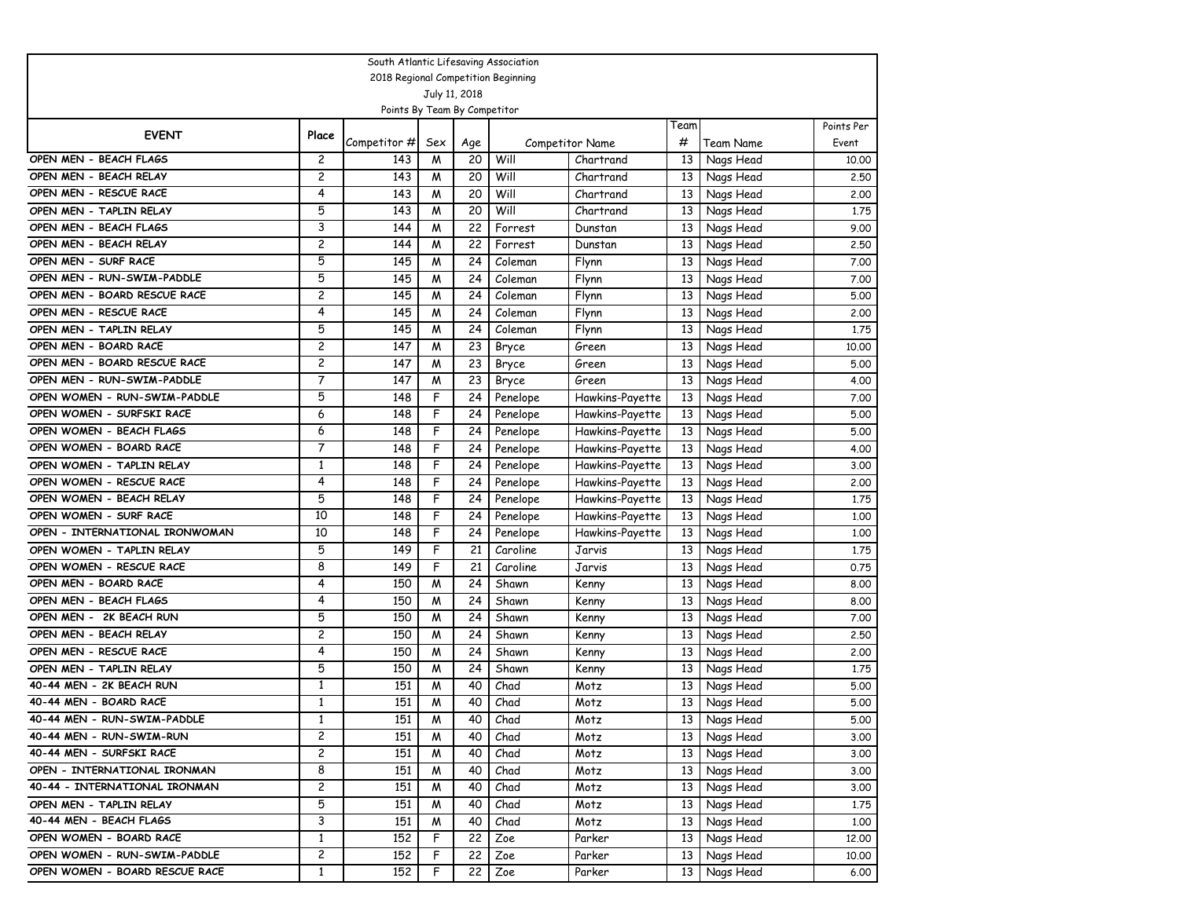| South Atlantic Lifesaving Association |                |                                     |                         |     |                        |                 |                 |              |            |  |  |
|---------------------------------------|----------------|-------------------------------------|-------------------------|-----|------------------------|-----------------|-----------------|--------------|------------|--|--|
|                                       |                | 2018 Regional Competition Beginning |                         |     |                        |                 |                 |              |            |  |  |
|                                       |                |                                     | July 11, 2018           |     |                        |                 |                 |              |            |  |  |
|                                       |                | Points By Team By Competitor        |                         |     |                        |                 | Team            |              | Points Per |  |  |
| <b>EVENT</b>                          | Place          | Competitor #                        | Sex                     | Age | <b>Competitor Name</b> |                 | #               | Team Name    | Event      |  |  |
| OPEN MEN - BEACH FLAGS                | 2              | 143                                 | M                       | 20  | Will                   | Chartrand       | 13              | Nags Head    | 10.00      |  |  |
| OPEN MEN - BEACH RELAY                | $\overline{c}$ | 143                                 | M                       | 20  | Will                   | Chartrand       | 13              | Nags Head    | 2.50       |  |  |
| OPEN MEN - RESCUE RACE                | 4              | 143                                 | W                       | 20  | Will                   | Chartrand       | 13              | Nags Head    | 2.00       |  |  |
| OPEN MEN - TAPLIN RELAY               | 5              | 143                                 | W                       | 20  | Will                   | Chartrand       | 13              | Nags Head    | 1.75       |  |  |
| OPEN MEN - BEACH FLAGS                | 3              | 144                                 | W                       | 22  | Forrest                | Dunstan         | 13              | Nags Head    | 9.00       |  |  |
| OPEN MEN - BEACH RELAY                | $\overline{c}$ | 144                                 | W                       | 22  | Forrest                | Dunstan         | 13              | Nags Head    | 2.50       |  |  |
| OPEN MEN - SURF RACE                  | 5              | 145                                 | W                       | 24  | Coleman                | Flynn           | 13              | Nags Head    | 7.00       |  |  |
| OPEN MEN - RUN-SWIM-PADDLE            | 5              | 145                                 | W                       | 24  | Coleman                | Flynn           | 13              | Nags Head    | 7.00       |  |  |
| OPEN MEN - BOARD RESCUE RACE          | $\overline{c}$ | 145                                 | M                       | 24  | Coleman                | Flynn           | 13              | Nags Head    | 5.00       |  |  |
| OPEN MEN - RESCUE RACE                | 4              | 145                                 | W                       | 24  | Coleman                | Flynn           | 13              | Nags Head    | 2.00       |  |  |
| OPEN MEN - TAPLIN RELAY               | 5              | 145                                 | M                       | 24  | Coleman                | Flynn           | 13              | Nags Head    | 1.75       |  |  |
| OPEN MEN - BOARD RACE                 | $\overline{c}$ | 147                                 | M                       | 23  | Bryce                  | Green           | 13              | Nags Head    | 10.00      |  |  |
| OPEN MEN - BOARD RESCUE RACE          | $\overline{c}$ | 147                                 | W                       | 23  | Bryce                  | Green           | 13              | Nags Head    | 5.00       |  |  |
| OPEN MEN - RUN-SWIM-PADDLE            | 7              | 147                                 | W                       | 23  | Bryce                  | Green           | 13              | Nags Head    | 4.00       |  |  |
| OPEN WOMEN - RUN-SWIM-PADDLE          | 5              | 148                                 | F                       | 24  | Penelope               | Hawkins-Payette | 13              | Nags Head    | 7.00       |  |  |
| OPEN WOMEN - SURFSKI RACE             | 6              | 148                                 | F                       | 24  | Penelope               | Hawkins-Payette | 13              | Nags Head    | 5.00       |  |  |
| OPEN WOMEN - BEACH FLAGS              | 6              | 148                                 | F                       | 24  | Penelope               | Hawkins-Payette | 13              | Nags Head    | 5.00       |  |  |
| OPEN WOMEN - BOARD RACE               | 7              | 148                                 | F                       | 24  | Penelope               | Hawkins-Payette | 13              | Nags Head    | 4.00       |  |  |
| OPEN WOMEN - TAPLIN RELAY             | $\mathbf{1}$   | 148                                 | F                       | 24  | Penelope               | Hawkins-Payette | 13              | Nags Head    | 3.00       |  |  |
| OPEN WOMEN - RESCUE RACE              | 4              | 148                                 | F                       | 24  | Penelope               | Hawkins-Payette | 13              | Nags Head    | 2.00       |  |  |
| OPEN WOMEN - BEACH RELAY              | 5              | 148                                 | F                       | 24  | Penelope               | Hawkins-Payette | 13              | Nags Head    | 1.75       |  |  |
| OPEN WOMEN - SURF RACE                | 10             | 148                                 | F                       | 24  | Penelope               | Hawkins-Payette | 13              | Nags Head    | 1.00       |  |  |
| OPEN - INTERNATIONAL IRONWOMAN        | 10             | 148                                 | F                       | 24  | Penelope               | Hawkins-Payette | 13              | Nags Head    | 1.00       |  |  |
| OPEN WOMEN - TAPLIN RELAY             | 5              | 149                                 | F                       | 21  | Caroline               | Jarvis          | 13              | Nags Head    | 1.75       |  |  |
| OPEN WOMEN - RESCUE RACE              | 8              | 149                                 | F                       | 21  | Caroline               | Jarvis          | 13              | Nags Head    | 0.75       |  |  |
| OPEN MEN - BOARD RACE                 | 4              | 150                                 | W                       | 24  | Shawn                  | Kenny           | 13              | Nags Head    | 8.00       |  |  |
| OPEN MEN - BEACH FLAGS                | 4              | 150                                 | M                       | 24  | Shawn                  | Kenny           | 13              | Nags Head    | 8.00       |  |  |
| OPEN MEN - 2K BEACH RUN               | 5              | 150                                 | W                       | 24  | Shawn                  | Kenny           | 13              | Nags Head    | 7.00       |  |  |
| OPEN MEN - BEACH RELAY                | 2              | 150                                 | M                       | 24  | Shawn                  | Kenny           | 13              | Nags Head    | 2.50       |  |  |
| OPEN MEN - RESCUE RACE                | 4              | 150                                 | W                       | 24  | Shawn                  | Kenny           | 13              | Nags Head    | 2.00       |  |  |
| OPEN MEN - TAPLIN RELAY               | 5              | 150                                 | M                       | 24  | Shawn                  | Kenny           | 13              | Nags Head    | 1.75       |  |  |
| 40-44 MEN - 2K BEACH RUN              | 1              | 151                                 | M                       | 40  | Chad                   | Motz            | 13              | Nags Head    | 5.00       |  |  |
| 40-44 MEN - BOARD RACE                | $\mathbf{1}$   | 151                                 | W                       | 40  | Chad                   | Motz            | 13              | Nags Head    | 5.00       |  |  |
| 40-44 MEN - RUN-SWIM-PADDLE           | $\mathbf{1}$   | 151                                 | $\overline{\mathsf{M}}$ | 40  | Chad                   | Motz            |                 | 13 Nags Head | 5.00       |  |  |
| 40-44 MEN - RUN-SWIM-RUN              | 2              | 151                                 | W                       | 40  | Chad                   | Motz            | 13 <sup>1</sup> | Nags Head    | 3.00       |  |  |
| 40-44 MEN - SURFSKI RACE              | 2              | 151                                 | M                       | 40  | Chad                   | Motz            | 13 <sup>1</sup> | Nags Head    | 3.00       |  |  |
| OPEN - INTERNATIONAL IRONMAN          | 8              | 151                                 | M                       | 40  | Chad                   | Motz            | 13              | Nags Head    | 3.00       |  |  |
| 40-44 - INTERNATIONAL IRONMAN         | 2              | 151                                 | M                       | 40  | Chad                   | Motz            | 13              | Nags Head    | 3.00       |  |  |
| OPEN MEN - TAPLIN RELAY               | 5              | 151                                 | M                       | 40  | Chad                   | Motz            | 13              | Nags Head    | 1.75       |  |  |
| 40-44 MEN - BEACH FLAGS               | 3              | 151                                 | M                       | 40  | Chad                   | Motz            | 13              | Nags Head    | 1.00       |  |  |
| OPEN WOMEN - BOARD RACE               | $\mathbf{1}$   | 152                                 | F                       | 22  | Zoe                    | Parker          | 13              | Nags Head    | 12,00      |  |  |
| OPEN WOMEN - RUN-SWIM-PADDLE          | 2              | 152                                 | F                       | 22  | Zoe                    | Parker          | 13              | Nags Head    | 10.00      |  |  |
| OPEN WOMEN - BOARD RESCUE RACE        | $\mathbf{1}$   | 152                                 | F                       | 22  | Zoe                    | Parker          | 13              | Nags Head    | 6.00       |  |  |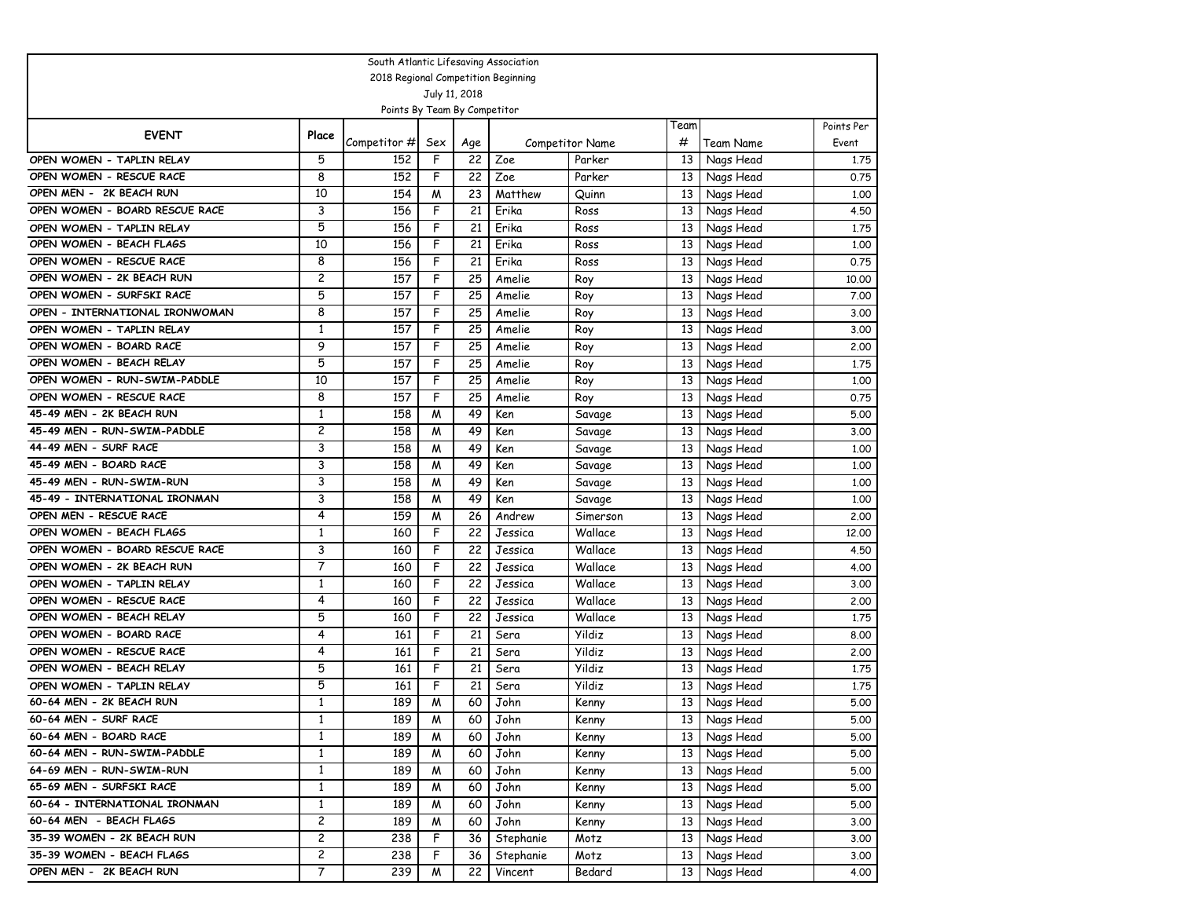| South Atlantic Lifesaving Association |                |                                     |                |     |           |                        |      |              |            |  |  |
|---------------------------------------|----------------|-------------------------------------|----------------|-----|-----------|------------------------|------|--------------|------------|--|--|
|                                       |                | 2018 Regional Competition Beginning |                |     |           |                        |      |              |            |  |  |
|                                       |                |                                     | July 11, 2018  |     |           |                        |      |              |            |  |  |
|                                       |                | Points By Team By Competitor        |                |     |           |                        |      |              |            |  |  |
| <b>EVENT</b>                          | Place          |                                     |                |     |           |                        | Team |              | Points Per |  |  |
|                                       |                | Competitor #                        | Sex            | Age |           | <b>Competitor Name</b> | #    | Team Name    | Event      |  |  |
| OPEN WOMEN - TAPLIN RELAY             | 5              | 152                                 | F              | 22  | Zoe       | Parker                 | 13   | Nags Head    | 1,75       |  |  |
| OPEN WOMEN - RESCUE RACE              | 8              | 152                                 | F              | 22  | Zoe       | Parker                 | 13   | Nags Head    | 0.75       |  |  |
| OPEN MEN - 2K BEACH RUN               | 10             | 154                                 | W              | 23  | Matthew   | Quinn                  | 13   | Nags Head    | 1.00       |  |  |
| OPEN WOMEN - BOARD RESCUE RACE        | 3              | 156                                 | F              | 21  | Erika     | Ross                   | 13   | Nags Head    | 4.50       |  |  |
| OPEN WOMEN - TAPLIN RELAY             | 5              | 156                                 | F              | 21  | Erika     | Ross                   | 13   | Nags Head    | 1.75       |  |  |
| OPEN WOMEN - BEACH FLAGS              | 10             | 156                                 | F              | 21  | Erika     | Ross                   | 13   | Nags Head    | 1,00       |  |  |
| OPEN WOMEN - RESCUE RACE              | 8              | 156                                 | F              | 21  | Erika     | Ross                   | 13   | Nags Head    | 0.75       |  |  |
| OPEN WOMEN - 2K BEACH RUN             | 2              | 157                                 | F              | 25  | Amelie    | Roy                    | 13   | Nags Head    | 10.00      |  |  |
| OPEN WOMEN - SURFSKI RACE             | 5              | 157                                 | F              | 25  | Amelie    | Roy                    | 13   | Nags Head    | 7.00       |  |  |
| OPEN - INTERNATIONAL IRONWOMAN        | 8              | 157                                 | F              | 25  | Amelie    | Roy                    | 13   | Nags Head    | 3.00       |  |  |
| OPEN WOMEN - TAPLIN RELAY             | $\mathbf{1}$   | 157                                 | F              | 25  | Amelie    | Roy                    | 13   | Nags Head    | 3.00       |  |  |
| OPEN WOMEN - BOARD RACE               | 9              | 157                                 | F              | 25  | Amelie    | Roy                    | 13   | Nags Head    | 2.00       |  |  |
| OPEN WOMEN - BEACH RELAY              | 5              | 157                                 | F              | 25  | Amelie    | Roy                    | 13   | Nags Head    | 1.75       |  |  |
| OPEN WOMEN - RUN-SWIM-PADDLE          | 10             | 157                                 | F              | 25  | Amelie    | Roy                    | 13   | Nags Head    | 1.00       |  |  |
| OPEN WOMEN - RESCUE RACE              | 8              | 157                                 | F              | 25  | Amelie    | Roy                    | 13   | Nags Head    | 0.75       |  |  |
| 45-49 MEN - 2K BEACH RUN              | $\mathbf{1}$   | 158                                 | W              | 49  | Ken       | Savage                 | 13   | Nags Head    | 5.00       |  |  |
| 45-49 MEN - RUN-SWIM-PADDLE           | 2              | 158                                 | W              | 49  | Ken       | Savage                 | 13   | Nags Head    | 3.00       |  |  |
| 44-49 MEN - SURF RACE                 | 3              | 158                                 | M              | 49  | Ken       | Savage                 | 13   | Nags Head    | 1.00       |  |  |
| 45-49 MEN - BOARD RACE                | 3              | 158                                 | M              | 49  | Ken       | Savage                 | 13   | Nags Head    | 1,00       |  |  |
| 45-49 MEN - RUN-SWIM-RUN              | 3              | 158                                 | W              | 49  | Ken       | Savage                 | 13   | Nags Head    | 1.00       |  |  |
| 45-49 - INTERNATIONAL IRONMAN         | 3              | 158                                 | W              | 49  | Ken       | Savage                 | 13   | Nags Head    | 1.00       |  |  |
| OPEN MEN - RESCUE RACE                | 4              | 159                                 | M              | 26  | Andrew    | Simerson               | 13   | Nags Head    | 2.00       |  |  |
| OPEN WOMEN - BEACH FLAGS              | 1              | 160                                 | F              | 22  | Jessica   | Wallace                | 13   | Nags Head    | 12.00      |  |  |
| OPEN WOMEN - BOARD RESCUE RACE        | 3              | 160                                 | F              | 22  | Jessica   | Wallace                | 13   | Nags Head    | 4.50       |  |  |
| OPEN WOMEN - 2K BEACH RUN             | 7              | 160                                 | F              | 22  | Jessica   | Wallace                | 13   | Nags Head    | 4.00       |  |  |
| OPEN WOMEN - TAPLIN RELAY             | $\mathbf{1}$   | 160                                 | F              | 22  | Jessica   | Wallace                | 13   | Nags Head    | 3.00       |  |  |
| OPEN WOMEN - RESCUE RACE              | 4              | 160                                 | F              | 22  | Jessica   | Wallace                | 13   | Nags Head    | 2.00       |  |  |
| OPEN WOMEN - BEACH RELAY              | 5              | 160                                 | F              | 22  | Jessica   | Wallace                | 13   | Nags Head    | 1.75       |  |  |
| OPEN WOMEN - BOARD RACE               | 4              | 161                                 | F              | 21  | Sera      | Yildiz                 | 13   | Nags Head    | 8.00       |  |  |
| OPEN WOMEN - RESCUE RACE              | 4              | 161                                 | F              | 21  | Sera      | Yildiz                 | 13   | Nags Head    | 2.00       |  |  |
| OPEN WOMEN - BEACH RELAY              | 5              | 161                                 | F              | 21  | Sera      | Yildiz                 | 13   | Nags Head    | 1.75       |  |  |
| OPEN WOMEN - TAPLIN RELAY             | 5              | 161                                 | F              | 21  | Sera      | Yildiz                 | 13   | Nags Head    | 1.75       |  |  |
| 60-64 MEN - 2K BEACH RUN              | $\mathbf{1}$   | 189                                 | W              | 60  | John      | Kenny                  | 13   | Nags Head    | 5.00       |  |  |
| 60-64 MEN - SURF RACE                 | $\mathbf{1}$   | 189                                 | $\overline{M}$ | 60  | John      | Kenny                  |      | 13 Nags Head | 5.00       |  |  |
| 60-64 MEN - BOARD RACE                | $\mathbf{1}$   | 189                                 | W              | 60  | John      | Kenny                  |      | 13 Nags Head | 5.00       |  |  |
| 60-64 MEN - RUN-SWIM-PADDLE           | $\mathbf{1}$   | 189                                 | W              | 60  | John      | Kenny                  |      | 13 Nags Head | 5.00       |  |  |
| 64-69 MEN - RUN-SWIM-RUN              | $\mathbf{1}$   | 189                                 | M              | 60  | John      | Kenny                  | 13   | Nags Head    | 5.00       |  |  |
| 65-69 MEN - SURFSKI RACE              | $\mathbf{1}$   | 189                                 | W              | 60  | John      | Kenny                  | 13   | Nags Head    | 5.00       |  |  |
| 60-64 - INTERNATIONAL IRONMAN         | $\mathbf{1}$   | 189                                 | M              | 60  | John      | Kenny                  | 13   | Nags Head    | 5.00       |  |  |
| 60-64 MEN - BEACH FLAGS               | 2              | 189                                 | M              | 60  | John      | Kenny                  | 13   | Nags Head    | 3.00       |  |  |
| 35-39 WOMEN - 2K BEACH RUN            | $\overline{c}$ | 238                                 | F              | 36  | Stephanie | Motz                   | 13   | Nags Head    | 3.00       |  |  |
| 35-39 WOMEN - BEACH FLAGS             | $\overline{c}$ | 238                                 | F              | 36  | Stephanie | Motz                   | 13   | Nags Head    | 3.00       |  |  |
| OPEN MEN - 2K BEACH RUN               | 7              | 239                                 | W              | 22  | Vincent   | Bedard                 | 13   | Nags Head    | 4.00       |  |  |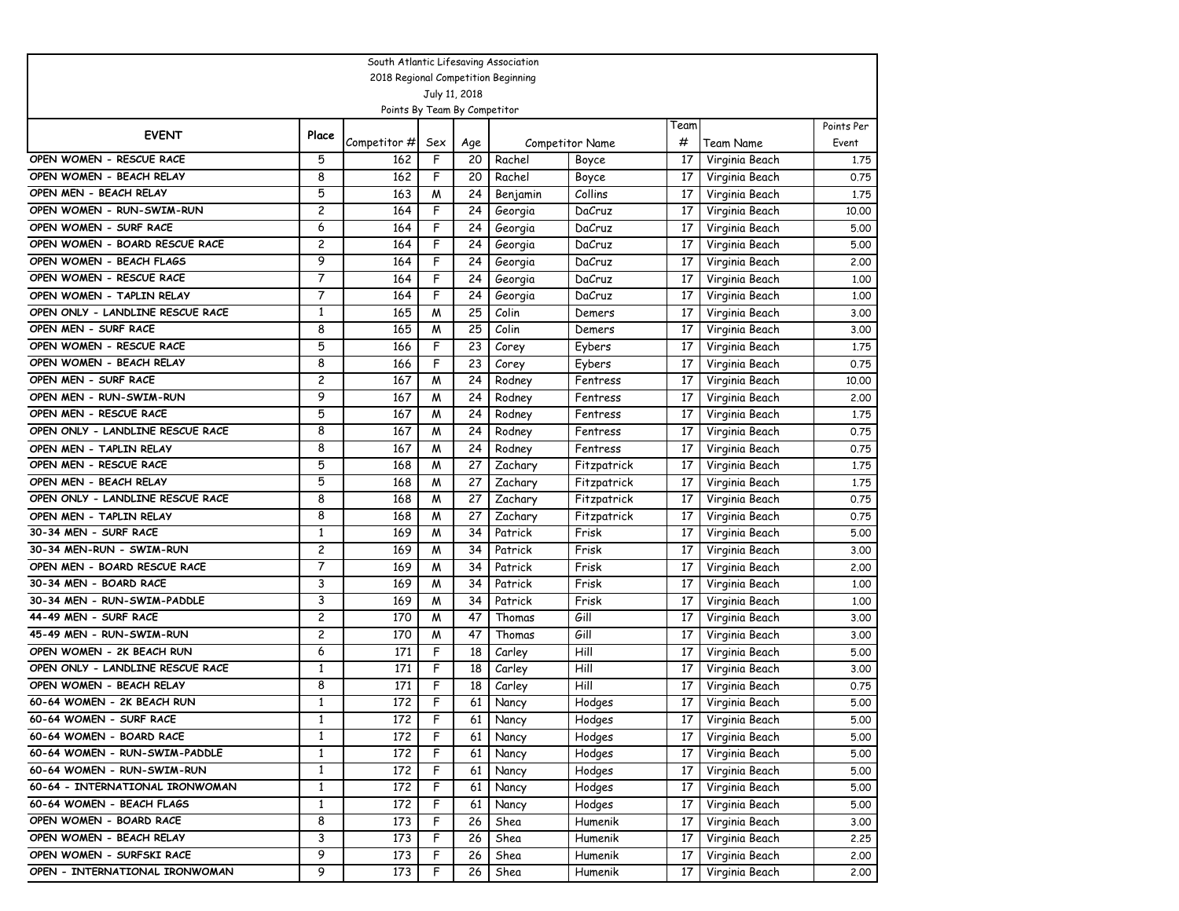| South Atlantic Lifesaving Association |                |              |                         |     |          |                 |                 |                |            |
|---------------------------------------|----------------|--------------|-------------------------|-----|----------|-----------------|-----------------|----------------|------------|
| 2018 Regional Competition Beginning   |                |              |                         |     |          |                 |                 |                |            |
| July 11, 2018                         |                |              |                         |     |          |                 |                 |                |            |
| Points By Team By Competitor          |                |              |                         |     |          |                 |                 |                |            |
| <b>EVENT</b>                          | Place          |              |                         |     |          |                 | Team            |                | Points Per |
|                                       |                | Competitor # | Sex                     | Age |          | Competitor Name | #               | Team Name      | Event      |
| OPEN WOMEN - RESCUE RACE              | 5              | 162          | F                       | 20  | Rachel   | Boyce           | 17              | Virginia Beach | 1.75       |
| OPEN WOMEN - BEACH RELAY              | 8              | 162          | F                       | 20  | Rachel   | Boyce           | 17              | Virginia Beach | 0.75       |
| OPEN MEN - BEACH RELAY                | 5              | 163          | W                       | 24  | Benjamin | Collins         | 17              | Virginia Beach | 1.75       |
| OPEN WOMEN - RUN-SWIM-RUN             | $\overline{c}$ | 164          | F                       | 24  | Georgia  | DaCruz          | 17              | Virginia Beach | 10.00      |
| OPEN WOMEN - SURF RACE                | 6              | 164          | F                       | 24  | Georgia  | DaCruz          | 17              | Virginia Beach | 5.00       |
| OPEN WOMEN - BOARD RESCUE RACE        | $\overline{c}$ | 164          | F                       | 24  | Georgia  | DaCruz          | 17              | Virginia Beach | 5.00       |
| OPEN WOMEN - BEACH FLAGS              | 9              | 164          | F                       | 24  | Georgia  | DaCruz          | 17              | Virginia Beach | 2.00       |
| OPEN WOMEN - RESCUE RACE              | 7              | 164          | F                       | 24  | Georgia  | DaCruz          | 17              | Virginia Beach | 1.00       |
| OPEN WOMEN - TAPLIN RELAY             | 7              | 164          | F                       | 24  | Georgia  | DaCruz          | 17              | Virginia Beach | 1.00       |
| OPEN ONLY - LANDLINE RESCUE RACE      | 1              | 165          | M                       | 25  | Colin    | Demers          | 17              | Virginia Beach | 3.00       |
| OPEN MEN - SURF RACE                  | 8              | 165          | W                       | 25  | Colin    | Demers          | 17              | Virginia Beach | 3.00       |
| OPEN WOMEN - RESCUE RACE              | 5              | 166          | F                       | 23  | Corey    | Eybers          | 17              | Virginia Beach | 1.75       |
| OPEN WOMEN - BEACH RELAY              | 8              | 166          | F                       | 23  | Corey    | Eybers          | 17              | Virginia Beach | 0.75       |
| OPEN MEN - SURF RACE                  | $\overline{c}$ | 167          | W                       | 24  | Rodney   | Fentress        | 17              | Virginia Beach | 10.00      |
| OPEN MEN - RUN-SWIM-RUN               | 9              | 167          | W                       | 24  | Rodney   | Fentress        | 17              | Virginia Beach | 2.00       |
| OPEN MEN - RESCUE RACE                | 5              | 167          | W                       | 24  | Rodney   | Fentress        | 17              | Virginia Beach | 1.75       |
| OPEN ONLY - LANDLINE RESCUE RACE      | 8              | 167          | W                       | 24  | Rodney   | Fentress        | 17              | Virginia Beach | 0.75       |
| OPEN MEN - TAPLIN RELAY               | 8              | 167          | W                       | 24  | Rodney   | Fentress        | 17              | Virginia Beach | 0.75       |
| OPEN MEN - RESCUE RACE                | 5              | 168          | W                       | 27  | Zachary  | Fitzpatrick     | 17              | Virginia Beach | 1.75       |
| OPEN MEN - BEACH RELAY                | 5              | 168          | W                       | 27  | Zachary  | Fitzpatrick     | 17              | Virginia Beach | 1.75       |
| OPEN ONLY - LANDLINE RESCUE RACE      | 8              | 168          | W                       | 27  | Zachary  | Fitzpatrick     | 17              | Virginia Beach | 0.75       |
| OPEN MEN - TAPLIN RELAY               | 8              | 168          | M                       | 27  | Zachary  | Fitzpatrick     | 17              | Virginia Beach | 0.75       |
| 30-34 MEN - SURF RACE                 | 1              | 169          | W                       | 34  | Patrick  | Frisk           | 17              | Virginia Beach | 5.00       |
| 30-34 MEN-RUN - SWIM-RUN              | $\overline{c}$ | 169          | M                       | 34  | Patrick  | Frisk           | 17              | Virginia Beach | 3.00       |
| OPEN MEN - BOARD RESCUE RACE          | 7              | 169          | W                       | 34  | Patrick  | Frisk           | 17              | Virginia Beach | 2.00       |
| 30-34 MEN - BOARD RACE                | 3              | 169          | W                       | 34  | Patrick  | Frisk           | 17              | Virginia Beach | 1,00       |
| 30-34 MEN - RUN-SWIM-PADDLE           | 3              | 169          | M                       | 34  | Patrick  | Frisk           | 17              | Virginia Beach | 1.00       |
| 44-49 MEN - SURF RACE                 | $\overline{c}$ | 170          | W                       | 47  | Thomas   | Gill            | 17              | Virginia Beach | 3.00       |
| 45-49 MEN - RUN-SWIM-RUN              | $\overline{c}$ | 170          | M                       | 47  | Thomas   | Gill            | 17              | Virginia Beach | 3.00       |
| OPEN WOMEN - 2K BEACH RUN             | 6              | 171          | F                       | 18  | Carley   | Hill            | 17              | Virginia Beach | 5.00       |
| OPEN ONLY - LANDLINE RESCUE RACE      | 1              | 171          | F                       | 18  | Carley   | Hill            | 17              | Virginia Beach | 3.00       |
| OPEN WOMEN - BEACH RELAY              | 8              | 171          | F                       | 18  | Carley   | Hill            | 17              | Virginia Beach | 0.75       |
| 60-64 WOMEN - 2K BEACH RUN            | $\mathbf{1}$   | 172          | F                       | 61  | Nancy    | Hodges          | 17              | Virginia Beach | 5.00       |
| 60-64 WOMEN - SURF RACE               | $\mathbf{1}$   | 172          | $\overline{\mathsf{F}}$ | 61  | Nancy    | Hodges          | $\overline{17}$ | Virginia Beach | 5.00       |
| 60-64 WOMEN - BOARD RACE              | $\mathbf{1}$   | 172          | F                       | 61  | Nancy    | Hodges          | 17              | Virginia Beach | 5.00       |
| 60-64 WOMEN - RUN-SWIM-PADDLE         | $\mathbf{1}$   | 172          | F                       | 61  | Nancy    | Hodges          | 17              | Virginia Beach | 5.00       |
| 60-64 WOMEN - RUN-SWIM-RUN            | $\mathbf{1}$   | 172          | F                       | 61  | Nancy    | Hodges          | 17              | Virginia Beach | 5.00       |
| 60-64 - INTERNATIONAL IRONWOMAN       | $\mathbf{1}$   | 172          | F                       | 61  | Nancy    | Hodges          | 17              | Virginia Beach | 5.00       |
| 60-64 WOMEN - BEACH FLAGS             | $\mathbf{1}$   | 172          | F                       | 61  | Nancy    | Hodges          | 17              | Virginia Beach | 5.00       |
| OPEN WOMEN - BOARD RACE               | 8              | 173          | F                       | 26  | Shea     | Humenik         | 17              | Virginia Beach | 3.00       |
| OPEN WOMEN - BEACH RELAY              | 3              | 173          | F                       | 26  | Shea     | Humenik         | 17              | Virginia Beach | 2.25       |
| OPEN WOMEN - SURFSKI RACE             | 9              | 173          | F                       | 26  | Shea     | Humenik         | 17              | Virginia Beach | 2.00       |
| OPEN - INTERNATIONAL IRONWOMAN        | 9              | 173          | F                       | 26  | Shea     | Humenik         | 17              | Virginia Beach | 2.00       |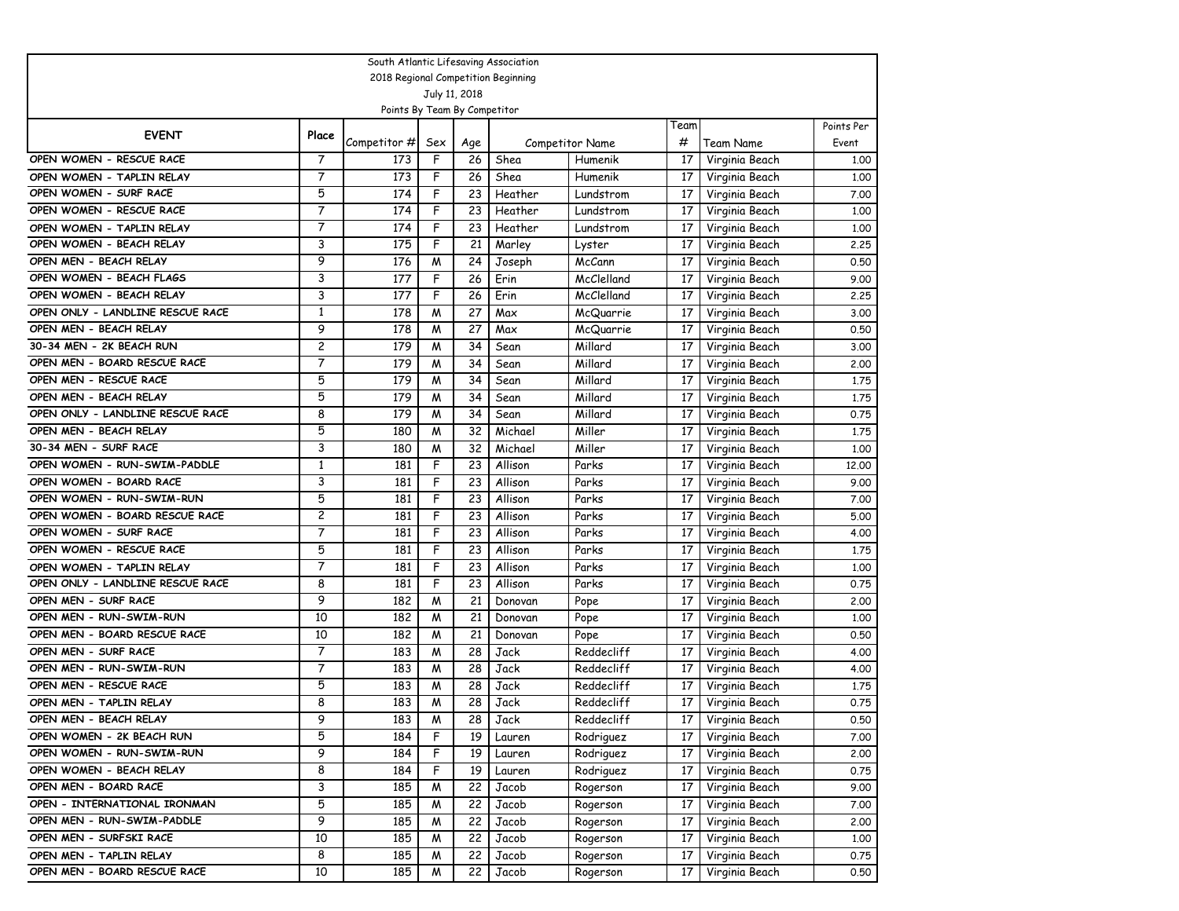| South Atlantic Lifesaving Association |                |              |                |                 |         |                        |                 |                  |            |
|---------------------------------------|----------------|--------------|----------------|-----------------|---------|------------------------|-----------------|------------------|------------|
| 2018 Regional Competition Beginning   |                |              |                |                 |         |                        |                 |                  |            |
| July 11, 2018                         |                |              |                |                 |         |                        |                 |                  |            |
| Points By Team By Competitor          |                |              |                |                 |         |                        |                 |                  |            |
| <b>EVENT</b>                          | Place          |              |                |                 |         |                        | Team            |                  | Points Per |
|                                       |                | Competitor # | Sex            | Age             |         | <b>Competitor Name</b> | #               | <b>Team Name</b> | Event      |
| OPEN WOMEN - RESCUE RACE              | 7              | 173          | F              | 26              | Shea    | Humenik                | 17              | Virginia Beach   | 1,00       |
| OPEN WOMEN - TAPLIN RELAY             | 7              | 173          | F              | 26              | Shea    | Humenik                | 17              | Virginia Beach   | 1.00       |
| OPEN WOMEN - SURF RACE                | 5              | 174          | F              | 23              | Heather | Lundstrom              | 17              | Virginia Beach   | 7.00       |
| OPEN WOMEN - RESCUE RACE              | $\overline{7}$ | 174          | F              | 23              | Heather | Lundstrom              | 17              | Virginia Beach   | 1,00       |
| OPEN WOMEN - TAPLIN RELAY             | 7              | 174          | F              | 23              | Heather | Lundstrom              | 17              | Virginia Beach   | 1,00       |
| OPEN WOMEN - BEACH RELAY              | 3              | 175          | F              | 21              | Marley  | Lyster                 | 17              | Virginia Beach   | 2.25       |
| OPEN MEN - BEACH RELAY                | 9              | 176          | W              | 24              | Joseph  | McCann                 | 17              | Virginia Beach   | 0.50       |
| OPEN WOMEN - BEACH FLAGS              | 3              | 177          | F              | 26              | Erin    | McClelland             | 17              | Virginia Beach   | 9.00       |
| OPEN WOMEN - BEACH RELAY              | 3              | 177          | F              | 26              | Erin    | McClelland             | 17              | Virginia Beach   | 2.25       |
| OPEN ONLY - LANDLINE RESCUE RACE      | $\mathbf{1}$   | 178          | M              | 27              | Max     | McQuarrie              | 17              | Virginia Beach   | 3.00       |
| OPEN MEN - BEACH RELAY                | 9              | 178          | W              | 27              | Max     | McQuarrie              | 17              | Virginia Beach   | 0.50       |
| 30-34 MEN - 2K BEACH RUN              | $\overline{c}$ | 179          | M              | 34              | Sean    | Millard                | 17              | Virginia Beach   | 3.00       |
| OPEN MEN - BOARD RESCUE RACE          | 7              | 179          | W              | 34              | Sean    | Millard                | 17              | Virginia Beach   | 2.00       |
| OPEN MEN - RESCUE RACE                | 5              | 179          | M              | 34              | Sean    | Millard                | 17              | Virginia Beach   | 1.75       |
| OPEN MEN - BEACH RELAY                | 5              | 179          | W              | 34              | Sean    | Millard                | 17              | Virginia Beach   | 1.75       |
| OPEN ONLY - LANDLINE RESCUE RACE      | 8              | 179          | W              | 34              | Sean    | Millard                | 17              | Virginia Beach   | 0.75       |
| OPEN MEN - BEACH RELAY                | 5              | 180          | W              | 32              | Michael | Miller                 | 17              | Virginia Beach   | 1.75       |
| 30-34 MEN - SURF RACE                 | 3              | 180          | W              | 32              | Michael | Miller                 | 17              | Virginia Beach   | 1,00       |
| OPEN WOMEN - RUN-SWIM-PADDLE          | $\mathbf{1}$   | 181          | F              | 23              | Allison | Parks                  | 17              | Virginia Beach   | 12,00      |
| OPEN WOMEN - BOARD RACE               | 3              | 181          | F              | 23              | Allison | Parks                  | 17              | Virginia Beach   | 9.00       |
| OPEN WOMEN - RUN-SWIM-RUN             | 5              | 181          | F              | 23              | Allison | Parks                  | 17              | Virginia Beach   | 7.00       |
| OPEN WOMEN - BOARD RESCUE RACE        | 2              | 181          | F              | 23              | Allison | Parks                  | 17              | Virginia Beach   | 5.00       |
| OPEN WOMEN - SURF RACE                | 7              | 181          | F              | 23              | Allison | Parks                  | 17              | Virginia Beach   | 4.00       |
| OPEN WOMEN - RESCUE RACE              | 5              | 181          | F              | 23              | Allison | Parks                  | 17              | Virginia Beach   | 1.75       |
| OPEN WOMEN - TAPLIN RELAY             | 7              | 181          | F              | 23              | Allison | Parks                  | 17              | Virginia Beach   | 1.00       |
| OPEN ONLY - LANDLINE RESCUE RACE      | 8              | 181          | F              | 23              | Allison | Parks                  | 17              | Virginia Beach   | 0.75       |
| OPEN MEN - SURF RACE                  | 9              | 182          | W              | 21              | Donovan | Pope                   | 17              | Virginia Beach   | 2.00       |
| OPEN MEN - RUN-SWIM-RUN               | 10             | 182          | W              | 21              | Donovan | Pope                   | 17              | Virginia Beach   | 1.00       |
| OPEN MEN - BOARD RESCUE RACE          | 10             | 182          | M              | 21              | Donovan | Pope                   | 17              | Virginia Beach   | 0.50       |
| OPEN MEN - SURF RACE                  | 7              | 183          | M              | 28              | Jack    | Reddecliff             | 17              | Virginia Beach   | 4.00       |
| OPEN MEN - RUN-SWIM-RUN               | 7              | 183          | W              | 28              | Jack    | Reddecliff             | 17              | Virginia Beach   | 4.00       |
| OPEN MEN - RESCUE RACE                | 5              | 183          | M              | 28              | Jack    | Reddecliff             | 17              | Virginia Beach   | 1.75       |
| OPEN MEN - TAPLIN RELAY               | 8              | 183          | W              | 28              | Jack    | Reddecliff             | 17              | Virginia Beach   | 0.75       |
| OPEN MEN - BEACH RELAY                | 9              | 183          | $\overline{M}$ | $\overline{28}$ | Jack    | Reddecliff             | $\overline{17}$ | Virginia Beach   | 0.50       |
| OPEN WOMEN - 2K BEACH RUN             | 5              | 184          | F              | 19              | Lauren  | Rodriguez              | 17              | Virginia Beach   | 7.00       |
| OPEN WOMEN - RUN-SWIM-RUN             | 9              | 184          | F              | 19              | Lauren  | Rodriguez              | 17              | Virginia Beach   | 2.00       |
| OPEN WOMEN - BEACH RELAY              | 8              | 184          | F              | 19              | Lauren  | Rodriguez              | 17              | Virginia Beach   | 0.75       |
| OPEN MEN - BOARD RACE                 | 3              | 185          | W              | 22              | Jacob   | Rogerson               | 17              | Virginia Beach   | 9.00       |
| OPEN - INTERNATIONAL IRONMAN          | 5              | 185          | M              | 22              | Jacob   | Rogerson               | 17              | Virginia Beach   | 7.00       |
| OPEN MEN - RUN-SWIM-PADDLE            | 9              | 185          | W              | 22              | Jacob   | Rogerson               | 17              | Virginia Beach   | 2.00       |
| OPEN MEN - SURFSKI RACE               | 10             | 185          | M              | 22              | Jacob   | Rogerson               | 17              | Virginia Beach   | 1.00       |
| OPEN MEN - TAPLIN RELAY               | 8              | 185          | M              | 22              | Jacob   | Rogerson               | 17              | Virginia Beach   | 0.75       |
| OPEN MEN - BOARD RESCUE RACE          | 10             | 185          | W              | 22              | Jacob   | Rogerson               | 17              | Virginia Beach   | 0.50       |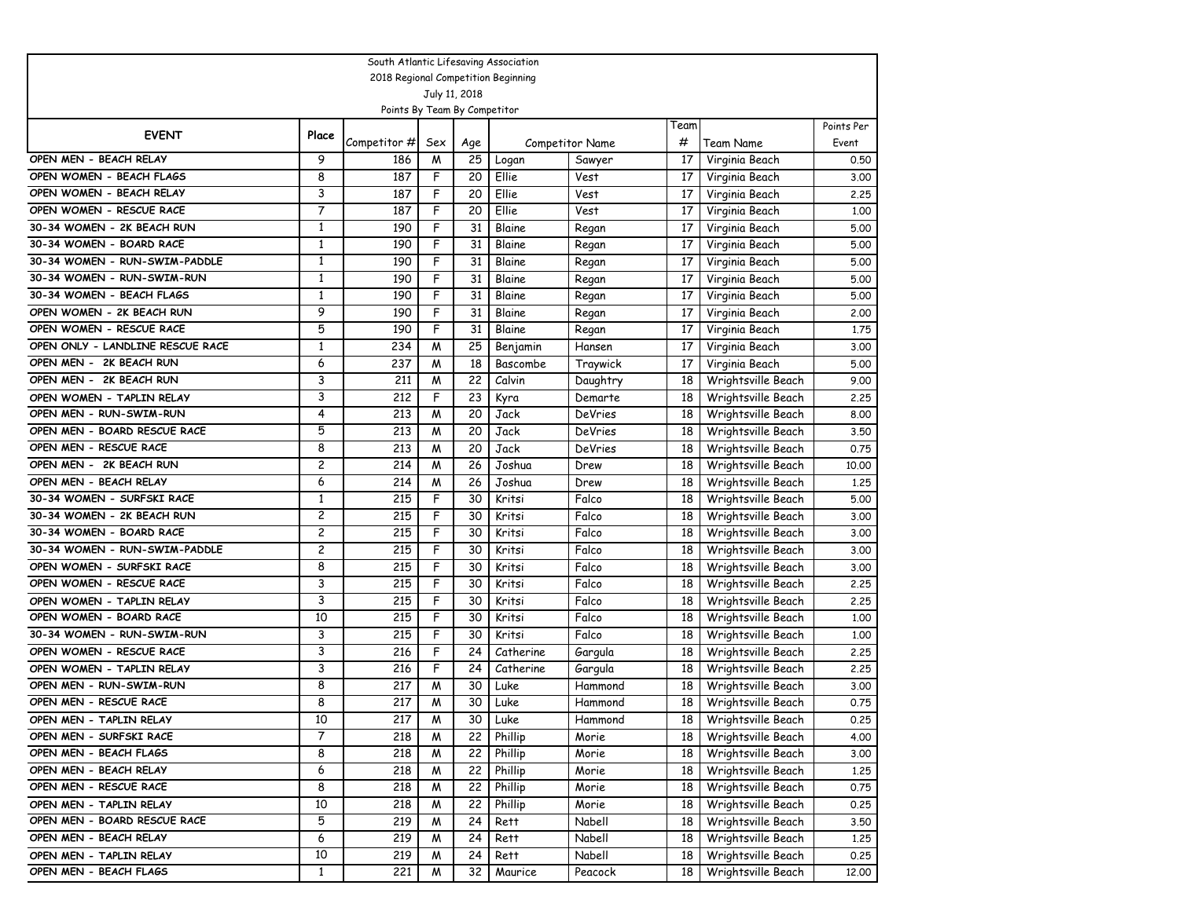| South Atlantic Lifesaving Association                       |                   |                  |                |          |                    |                        |          |                                      |              |
|-------------------------------------------------------------|-------------------|------------------|----------------|----------|--------------------|------------------------|----------|--------------------------------------|--------------|
| 2018 Regional Competition Beginning                         |                   |                  |                |          |                    |                        |          |                                      |              |
| July 11, 2018                                               |                   |                  |                |          |                    |                        |          |                                      |              |
| Points By Team By Competitor                                |                   |                  |                |          |                    |                        |          |                                      |              |
| <b>EVENT</b>                                                | Place             |                  |                |          |                    |                        | Team     |                                      | Points Per   |
|                                                             | 9                 | Competitor #     | Sex            | Age      |                    | <b>Competitor Name</b> | #        | Team Name                            | Event        |
| OPEN MEN - BEACH RELAY                                      |                   | 186              | W              | 25       | Logan              | Sawyer                 | 17       | Virginia Beach                       | 0.50         |
| OPEN WOMEN - BEACH FLAGS                                    | 8<br>3            | 187              | F              | 20       | Ellie              | Vest                   | 17       | Virginia Beach                       | 3.00         |
| OPEN WOMEN - BEACH RELAY                                    | $\overline{7}$    | 187              | F<br>F         | 20       | Ellie              | Vest                   | 17       | Virginia Beach                       | 2.25         |
| OPEN WOMEN - RESCUE RACE                                    |                   | 187              |                | 20       | Ellie              | Vest                   | 17       | Virginia Beach                       | 1.00         |
| 30-34 WOMEN - 2K BEACH RUN                                  | 1<br>$\mathbf{1}$ | 190              | F<br>F         | 31<br>31 | Blaine             | Regan                  | 17       | Virginia Beach                       | 5.00         |
| 30-34 WOMEN - BOARD RACE                                    | $\mathbf{1}$      | 190              | F              |          | Blaine             | Regan                  | 17       | Virginia Beach                       | 5.00         |
| 30-34 WOMEN - RUN-SWIM-PADDLE<br>30-34 WOMEN - RUN-SWIM-RUN | $\mathbf{1}$      | 190              | F              | 31       | Blaine             | Regan                  | 17       | Virginia Beach                       | 5.00         |
|                                                             | $\mathbf{1}$      | 190<br>190       | F              | 31<br>31 | Blaine             | Regan                  | 17       | Virginia Beach                       | 5.00         |
| 30-34 WOMEN - BEACH FLAGS<br>OPEN WOMEN - 2K BEACH RUN      | 9                 |                  | F              | 31       | Blaine             | Regan                  | 17       | Virginia Beach                       | 5.00         |
| OPEN WOMEN - RESCUE RACE                                    | 5                 | 190<br>190       | F              | 31       | Blaine<br>Blaine   | Regan                  | 17<br>17 | Virginia Beach                       | 2.00<br>1.75 |
| OPEN ONLY - LANDLINE RESCUE RACE                            | $\mathbf{1}$      |                  | W              |          |                    | Regan<br>Hansen        |          | Virginia Beach                       |              |
| OPEN MEN - 2K BEACH RUN                                     | 6                 | 234<br>237       | W              | 25<br>18 | Benjamin           | Traywick               | 17<br>17 | Virginia Beach                       | 3.00<br>5.00 |
| OPEN MEN - 2K BEACH RUN                                     | 3                 | 211              | W              | 22       | Bascombe<br>Calvin |                        | 18       | Virginia Beach<br>Wrightsville Beach | 9.00         |
| OPEN WOMEN - TAPLIN RELAY                                   | 3                 | 212              | F              | 23       | Kyra               | Daughtry               | 18       | Wrightsville Beach                   | 2.25         |
| OPEN MEN - RUN-SWIM-RUN                                     | 4                 | 213              | W              | 20       | Jack               | Demarte<br>DeVries     | 18       | Wrightsville Beach                   | 8.00         |
| OPEN MEN - BOARD RESCUE RACE                                | 5                 | 213              | W              | 20       | Jack               | <b>DeVries</b>         | 18       | Wrightsville Beach                   | 3.50         |
| OPEN MEN - RESCUE RACE                                      | 8                 | 213              | W              | 20       | Jack               | DeVries                | 18       | Wrightsville Beach                   | 0.75         |
| OPEN MEN - 2K BEACH RUN                                     | $\overline{c}$    | 214              | W              | 26       | Joshua             | Drew                   | 18       | Wrightsville Beach                   | 10,00        |
| OPEN MEN - BEACH RELAY                                      | 6                 | 214              | W              | 26       | Joshua             | Drew                   | 18       | Wrightsville Beach                   | 1,25         |
| 30-34 WOMEN - SURFSKI RACE                                  | $\mathbf{1}$      | 215              | F              | 30       | Kritsi             | Falco                  | 18       | Wrightsville Beach                   | 5.00         |
| 30-34 WOMEN - 2K BEACH RUN                                  | 2                 | 215              | F              | 30       | Kritsi             | Falco                  | 18       | Wrightsville Beach                   | 3.00         |
| 30-34 WOMEN - BOARD RACE                                    | $\overline{c}$    | 215              | F              | 30       | Kritsi             | Falco                  | 18       | Wrightsville Beach                   | 3.00         |
| 30-34 WOMEN - RUN-SWIM-PADDLE                               | $\overline{c}$    | 215              | F              | 30       | Kritsi             | Falco                  | 18       | Wrightsville Beach                   | 3.00         |
| OPEN WOMEN - SURFSKI RACE                                   | 8                 | 215              | F              | 30       | Kritsi             | Falco                  | 18       | Wrightsville Beach                   | 3.00         |
| OPEN WOMEN - RESCUE RACE                                    | 3                 | 215              | F              | 30       | Kritsi             | Falco                  | 18       | Wrightsville Beach                   | 2.25         |
| OPEN WOMEN - TAPLIN RELAY                                   | 3                 | 215              | F              | 30       | Kritsi             | Falco                  | 18       | Wrightsville Beach                   | 2.25         |
| OPEN WOMEN - BOARD RACE                                     | 10                | 215              | F              | 30       | Kritsi             | Falco                  | 18       | Wrightsville Beach                   | 1,00         |
| 30-34 WOMEN - RUN-SWIM-RUN                                  | 3                 | 215              | F              | 30       | Kritsi             | Falco                  | 18       | Wrightsville Beach                   | 1,00         |
| OPEN WOMEN - RESCUE RACE                                    | 3                 | 216              | F              | 24       | Catherine          | Gargula                | 18       | Wrightsville Beach                   | 2.25         |
| OPEN WOMEN - TAPLIN RELAY                                   | 3                 | 216              | F              | 24       | Catherine          | Gargula                | 18       | Wrightsville Beach                   | 2.25         |
| OPEN MEN - RUN-SWIM-RUN                                     | 8                 | 217              | M              | 30       | Luke               | Hammond                | 18       | Wrightsville Beach                   | 3.00         |
| OPEN MEN - RESCUE RACE                                      | 8                 | 217              | W              | 30       | Luke               | Hammond                | 18       | Wrightsville Beach                   | 0.75         |
| OPEN MEN - TAPLIN RELAY                                     | 10                | $\overline{217}$ | $\overline{M}$ | 30       | Luke               | Hammond                | 18       | Wrightsville Beach                   | 0.25         |
| OPEN MEN - SURFSKI RACE                                     | 7                 | 218              | W              | 22       | Phillip            | Morie                  | 18       | Wrightsville Beach                   | 4.00         |
| OPEN MEN - BEACH FLAGS                                      | 8                 | 218              | W              | 22       | Phillip            | Morie                  | 18       | Wrightsville Beach                   | 3.00         |
| OPEN MEN - BEACH RELAY                                      | 6                 | 218              | M              | 22       | Phillip            | Morie                  | 18       | Wrightsville Beach                   | 1.25         |
| OPEN MEN - RESCUE RACE                                      | 8                 | 218              | W              | 22       | Phillip            | Morie                  | 18       | Wrightsville Beach                   | 0.75         |
| OPEN MEN - TAPLIN RELAY                                     | 10                | 218              | M              | 22       | Phillip            | Morie                  | 18       | Wrightsville Beach                   | 0.25         |
| OPEN MEN - BOARD RESCUE RACE                                | 5                 | 219              | M              | 24       | Rett               | Nabell                 | 18       | Wrightsville Beach                   | 3.50         |
| OPEN MEN - BEACH RELAY                                      | 6                 | 219              | M              | 24       | Rett               | Nabell                 | 18       | Wrightsville Beach                   | 1.25         |
| OPEN MEN - TAPLIN RELAY                                     | 10                | 219              | M              | 24       | Rett               | Nabell                 | 18       | Wrightsville Beach                   | 0.25         |
| OPEN MEN - BEACH FLAGS                                      | $\mathbf{1}$      | 221              | M              | 32       | Maurice            | Peacock                | 18       | Wrightsville Beach                   | 12.00        |